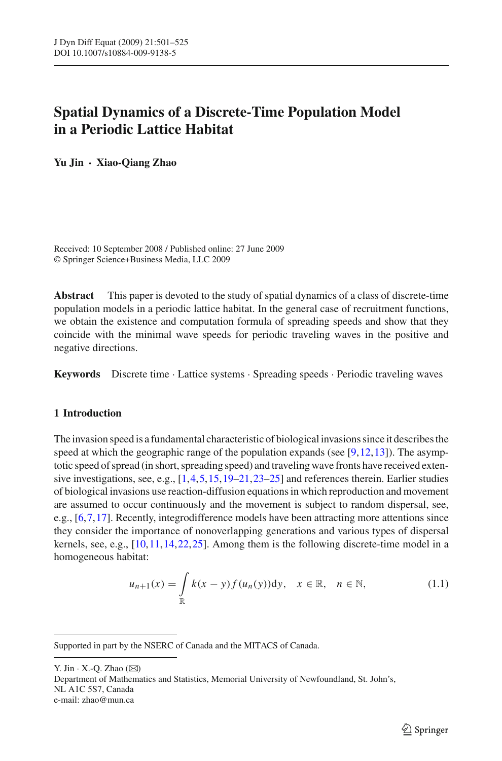# **Spatial Dynamics of a Discrete-Time Population Model in a Periodic Lattice Habitat**

**Yu Jin · Xiao-Qiang Zhao**

Received: 10 September 2008 / Published online: 27 June 2009 © Springer Science+Business Media, LLC 2009

**Abstract** This paper is devoted to the study of spatial dynamics of a class of discrete-time population models in a periodic lattice habitat. In the general case of recruitment functions, we obtain the existence and computation formula of spreading speeds and show that they coincide with the minimal wave speeds for periodic traveling waves in the positive and negative directions.

**Keywords** Discrete time · Lattice systems · Spreading speeds · Periodic traveling waves

## **1 Introduction**

The invasion speed is a fundamental characteristic of biological invasions since it describes the speed at which the geographic range of the population expands (see  $[9,12,13]$  $[9,12,13]$  $[9,12,13]$  $[9,12,13]$ ). The asymptotic speed of spread (in short, spreading speed) and traveling wave fronts have received extensive investigations, see, e.g., [\[1,](#page-23-3)[4,](#page-23-4)[5](#page-23-5),[15](#page-23-6)[,19](#page-24-0)[–21,](#page-24-1)[23](#page-24-2)[–25\]](#page-24-3) and references therein. Earlier studies of biological invasions use reaction-diffusion equations in which reproduction and movement are assumed to occur continuously and the movement is subject to random dispersal, see, e.g., [\[6](#page-23-7)[,7](#page-23-8)[,17\]](#page-23-9). Recently, integrodifference models have been attracting more attentions since they consider the importance of nonoverlapping generations and various types of dispersal kernels, see, e.g., [\[10,](#page-23-10)[11](#page-23-11)[,14,](#page-23-12)[22](#page-24-4)[,25\]](#page-24-3). Among them is the following discrete-time model in a homogeneous habitat:

$$
u_{n+1}(x) = \int_{\mathbb{R}} k(x - y) f(u_n(y)) dy, \quad x \in \mathbb{R}, \quad n \in \mathbb{N},
$$
 (1.1)

<span id="page-0-0"></span>Supported in part by the NSERC of Canada and the MITACS of Canada.

Y. Jin  $\cdot$  X.-Q. Zhao ( $\boxtimes$ ) Department of Mathematics and Statistics, Memorial University of Newfoundland, St. John's, NL A1C 5S7, Canada e-mail: zhao@mun.ca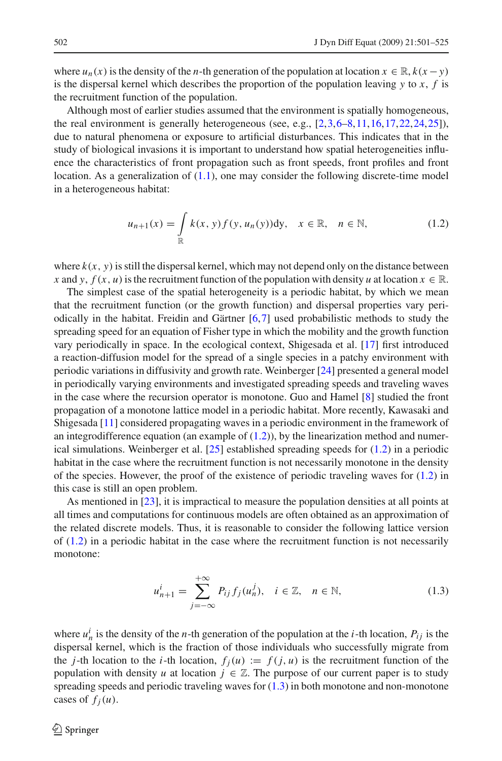where  $u_n(x)$  is the density of the *n*-th generation of the population at location  $x \in \mathbb{R}$ ,  $k(x - y)$ is the dispersal kernel which describes the proportion of the population leaving *y* to *x*, *f* is the recruitment function of the population.

Although most of earlier studies assumed that the environment is spatially homogeneous, the real environment is generally heterogeneous (see, e.g., [\[2,](#page-23-13)[3,](#page-23-14)[6](#page-23-7)[–8](#page-23-15)[,11,](#page-23-11)[16](#page-23-16)[,17,](#page-23-9)[22](#page-24-4)[,24,](#page-24-5)[25](#page-24-3)]), due to natural phenomena or exposure to artificial disturbances. This indicates that in the study of biological invasions it is important to understand how spatial heterogeneities influence the characteristics of front propagation such as front speeds, front profiles and front location. As a generalization of  $(1.1)$ , one may consider the following discrete-time model in a heterogeneous habitat:

$$
u_{n+1}(x) = \int_{\mathbb{R}} k(x, y) f(y, u_n(y)) \, dy, \quad x \in \mathbb{R}, \quad n \in \mathbb{N}, \tag{1.2}
$$

<span id="page-1-0"></span>where  $k(x, y)$  is still the dispersal kernel, which may not depend only on the distance between *x* and *y*,  $f(x, u)$  is the recruitment function of the population with density *u* at location  $x \in \mathbb{R}$ .

The simplest case of the spatial heterogeneity is a periodic habitat, by which we mean that the recruitment function (or the growth function) and dispersal properties vary periodically in the habitat. Freidin and Gärtner [\[6](#page-23-7)[,7\]](#page-23-8) used probabilistic methods to study the spreading speed for an equation of Fisher type in which the mobility and the growth function vary periodically in space. In the ecological context, Shigesada et al. [\[17\]](#page-23-9) first introduced a reaction-diffusion model for the spread of a single species in a patchy environment with periodic variations in diffusivity and growth rate. Weinberger [\[24](#page-24-5)] presented a general model in periodically varying environments and investigated spreading speeds and traveling waves in the case where the recursion operator is monotone. Guo and Hamel [\[8\]](#page-23-15) studied the front propagation of a monotone lattice model in a periodic habitat. More recently, Kawasaki and Shigesada [\[11](#page-23-11)] considered propagating waves in a periodic environment in the framework of an integrodifference equation (an example of  $(1.2)$ ), by the linearization method and numerical simulations. Weinberger et al.  $[25]$  established spreading speeds for  $(1.2)$  in a periodic habitat in the case where the recruitment function is not necessarily monotone in the density of the species. However, the proof of the existence of periodic traveling waves for  $(1.2)$  in this case is still an open problem.

As mentioned in [\[23\]](#page-24-2), it is impractical to measure the population densities at all points at all times and computations for continuous models are often obtained as an approximation of the related discrete models. Thus, it is reasonable to consider the following lattice version of [\(1.2\)](#page-1-0) in a periodic habitat in the case where the recruitment function is not necessarily monotone:

$$
u_{n+1}^i = \sum_{j=-\infty}^{+\infty} P_{ij} f_j(u_n^j), \quad i \in \mathbb{Z}, \quad n \in \mathbb{N},
$$
 (1.3)

<span id="page-1-1"></span>where  $u^i$  is the density of the *n*-th generation of the population at the *i*-th location,  $P_{ij}$  is the dispersal kernel, which is the fraction of those individuals who successfully migrate from the *j*-th location to the *i*-th location,  $f_i(u) := f(j, u)$  is the recruitment function of the population with density *u* at location  $j \in \mathbb{Z}$ . The purpose of our current paper is to study spreading speeds and periodic traveling waves for [\(1.3\)](#page-1-1) in both monotone and non-monotone cases of  $f_i(u)$ .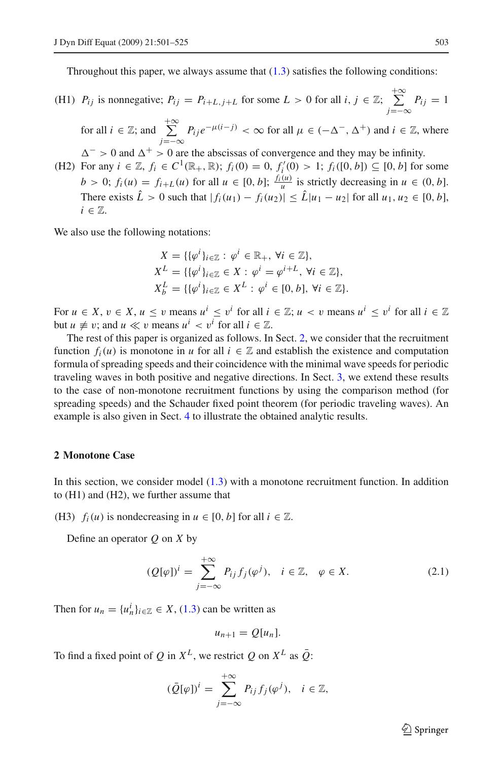Throughout this paper, we always assume that  $(1.3)$  satisfies the following conditions:

(H1)  $P_{ij}$  is nonnegative;  $P_{ij} = P_{i+L,j+L}$  for some  $L > 0$  for all  $i, j \in \mathbb{Z}$ ;  $\sum_{j=1}^{+\infty}$ *j*=−∞  $P_{ij} = 1$ 

for all  $i \in \mathbb{Z}$ ; and  $\sum_{i=1}^{+\infty}$ *j*=−∞  $P_{ij}e^{-\mu(i-j)}$  < ∞ for all  $\mu \in (-\Delta^-, \Delta^+)$  and  $i \in \mathbb{Z}$ , where

 $\Delta^{-} > 0$  and  $\Delta^{+} > 0$  are the abscissas of convergence and they may be infinity. (H2) For any *i* ∈  $\mathbb{Z}$ ,  $f_i$  ∈  $C^1(\mathbb{R}_+, \mathbb{R})$ ;  $f_i(0) = 0$ ,  $f'_i(0) > 1$ ;  $f_i([0, b]) \subseteq [0, b]$  for some  $b > 0$ ;  $f_i(u) = f_{i+L}(u)$  for all  $u \in [0, b]$ ;  $\frac{f_i(u)}{u}$  is strictly decreasing in  $u \in (0, b]$ . There exists  $\hat{L} > 0$  such that  $|f_i(u_1) - f_i(u_2)| \leq \hat{L} |u_1 - u_2|$  for all  $u_1, u_2 \in [0, b]$ ,  $i \in \mathbb{Z}$ .

We also use the following notations:

$$
X = \{ \{\varphi^i\}_{i \in \mathbb{Z}} : \varphi^i \in \mathbb{R}_+, \forall i \in \mathbb{Z} \},
$$
  
\n
$$
X^L = \{ \{\varphi^i\}_{i \in \mathbb{Z}} \in X : \varphi^i = \varphi^{i+L}, \forall i \in \mathbb{Z} \},
$$
  
\n
$$
X^L_b = \{ \{\varphi^i\}_{i \in \mathbb{Z}} \in X^L : \varphi^i \in [0, b], \forall i \in \mathbb{Z} \}.
$$

For  $u \in X$ ,  $v \in X$ ,  $u \le v$  means  $u^i \le v^i$  for all  $i \in \mathbb{Z}$ ;  $u < v$  means  $u^i \le v^i$  for all  $i \in \mathbb{Z}$ but  $u \neq v$ ; and  $u \ll v$  means  $u^i < v^i$  for all  $i \in \mathbb{Z}$ .

The rest of this paper is organized as follows. In Sect. [2,](#page-2-0) we consider that the recruitment function  $f_i(u)$  is monotone in *u* for all  $i \in \mathbb{Z}$  and establish the existence and computation formula of spreading speeds and their coincidence with the minimal wave speeds for periodic traveling waves in both positive and negative directions. In Sect. [3,](#page-11-0) we extend these results to the case of non-monotone recruitment functions by using the comparison method (for spreading speeds) and the Schauder fixed point theorem (for periodic traveling waves). An example is also given in Sect. [4](#page-20-0) to illustrate the obtained analytic results.

#### <span id="page-2-0"></span>**2 Monotone Case**

In this section, we consider model [\(1.3\)](#page-1-1) with a monotone recruitment function. In addition to (H1) and (H2), we further assume that

(H3)  $f_i(u)$  is nondecreasing in  $u \in [0, b]$  for all  $i \in \mathbb{Z}$ .

<span id="page-2-1"></span>Define an operator *Q* on *X* by

$$
(Q[\varphi])^{i} = \sum_{j=-\infty}^{+\infty} P_{ij} f_j(\varphi^{j}), \quad i \in \mathbb{Z}, \quad \varphi \in X.
$$
 (2.1)

Then for  $u_n = \{u_n^i\}_{i \in \mathbb{Z}} \in X$ , [\(1.3\)](#page-1-1) can be written as

$$
u_{n+1}=Q[u_n].
$$

To find a fixed point of *Q* in  $X^L$ , we restrict *Q* on  $X^L$  as  $\overline{Q}$ :

$$
(\bar{Q}[\varphi])^i = \sum_{j=-\infty}^{+\infty} P_{ij} f_j(\varphi^j), \quad i \in \mathbb{Z},
$$

 $\circled{2}$  Springer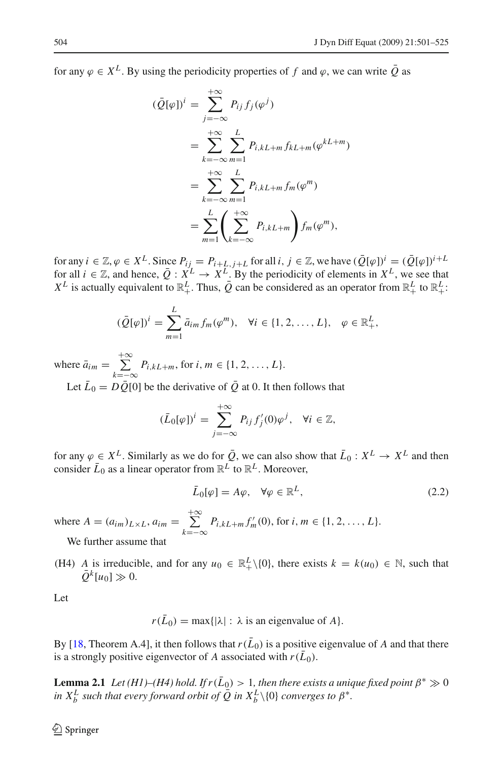for any  $\varphi \in X^L$ . By using the periodicity properties of f and  $\varphi$ , we can write  $\overline{O}$  as

$$
(\bar{Q}[\varphi])^{i} = \sum_{j=-\infty}^{+\infty} P_{ij} f_j(\varphi^{j})
$$
  
= 
$$
\sum_{k=-\infty}^{+\infty} \sum_{m=1}^{L} P_{i,kL+m} f_{kL+m}(\varphi^{kL+m})
$$
  
= 
$$
\sum_{k=-\infty}^{+\infty} \sum_{m=1}^{L} P_{i,kL+m} f_m(\varphi^m)
$$
  
= 
$$
\sum_{m=1}^{L} \left( \sum_{k=-\infty}^{+\infty} P_{i,kL+m} \right) f_m(\varphi^m),
$$

for any  $i \in \mathbb{Z}, \varphi \in X^L$ . Since  $P_{ij} = P_{i+L,j+L}$  for all  $i, j \in \mathbb{Z}$ , we have  $(\overline{Q}[\varphi])^i = (\overline{Q}[\varphi])^{i+L}$ for all  $i \in \mathbb{Z}$ , and hence,  $\overline{Q}: X^L \to X^L$ . By the periodicity of elements in  $X^L$ , we see that  $X^L$  is actually equivalent to  $\mathbb{R}^L_+$ . Thus,  $\overline{Q}$  can be considered as an operator from  $\mathbb{R}^L_+$  to  $\mathbb{R}^L_+$ :

$$
(\bar{Q}[\varphi])^i = \sum_{m=1}^L \bar{a}_{im} f_m(\varphi^m), \quad \forall i \in \{1, 2, ..., L\}, \quad \varphi \in \mathbb{R}^L_+,
$$

where  $\bar{a}_{im} = \sum_{i=1}^{+\infty}$ *k*=−∞  $P_{i,kL+m}$ , for *i*, *m* ∈ {1, 2, ..., *L*}.

Let  $\bar{L}_0 = D\bar{Q}$ [0] be the derivative of  $\bar{Q}$  at 0. It then follows that

$$
(\bar{L}_0[\varphi])^i = \sum_{j=-\infty}^{+\infty} P_{ij} f'_j(0) \varphi^j, \quad \forall i \in \mathbb{Z},
$$

for any  $\varphi \in X^L$ . Similarly as we do for  $\overline{Q}$ , we can also show that  $\overline{L}_0 : X^L \to X^L$  and then consider  $\bar{L}_0$  as a linear operator from  $\mathbb{R}^L$  to  $\mathbb{R}^L$ . Moreover,

$$
\bar{L}_0[\varphi] = A\varphi, \quad \forall \varphi \in \mathbb{R}^L, \tag{2.2}
$$

where  $A = (a_{im})_{L \times L}$ ,  $a_{im} = \sum_{i=1}^{+\infty}$  $\sum_{k=-\infty}^{+\infty} P_{i,kL+m} f'_m(0)$ , for  $i, m \in \{1, 2, ..., L\}.$ 

We further assume that

(H4) *A* is irreducible, and for any  $u_0 \in \mathbb{R}^L_+\setminus\{0\}$ , there exists  $k = k(u_0) \in \mathbb{N}$ , such that  $\overline{Q}^k[u_0] \gg 0.$ 

Let

 $r(\bar{L}_0) = \max\{|\lambda| : \lambda \text{ is an eigenvalue of } A\}.$ 

<span id="page-3-0"></span>By [\[18](#page-24-6), Theorem A.4], it then follows that  $r(\bar{L}_0)$  is a positive eigenvalue of A and that there is a strongly positive eigenvector of *A* associated with  $r(\bar{L}_0)$ .

**Lemma 2.1** *Let* (H1)–(H4) hold. If  $r(\bar{L}_0) > 1$ , then there exists a unique fixed point  $\beta^* \gg 0$ *in X*<sup>*L*</sup> *such that every forward orbit of*  $\overline{Q}$  *in X*<sup>*L*</sup>  $\setminus$  {0} *converges to*  $\beta^*$ *.*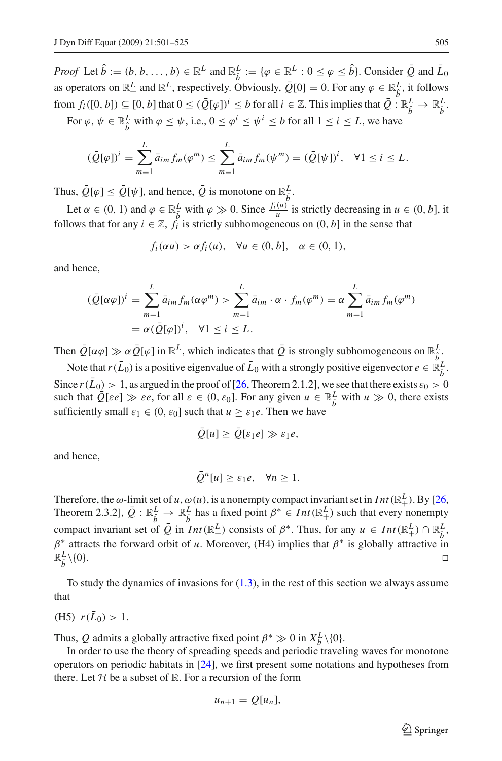*Proof* Let  $\hat{b} := (b, b, \dots, b) \in \mathbb{R}^L$  and  $\mathbb{R}^L_{\hat{b}} := \{ \varphi \in \mathbb{R}^L : 0 \le \varphi \le \hat{b} \}$ . Consider  $\overline{Q}$  and  $\overline{L}_0$ as operators on  $\mathbb{R}^L_+$  and  $\mathbb{R}^L$ , respectively. Obviously,  $\overline{Q}[0] = 0$ . For any  $\varphi \in \mathbb{R}^L$ , it follows from  $f_i([0, b]) \subseteq [0, b]$  that  $0 \leq (\overline{Q}[\varphi])^i \leq b$  for all  $i \in \mathbb{Z}$ . This implies that  $\overline{Q}: \mathbb{R}_{\hat{b}}^L \to \mathbb{R}_{\hat{b}}^L$ .

For  $\varphi, \psi \in \mathbb{R}^L_{\hat{b}}$  with  $\varphi \leq \psi$ , i.e.,  $0 \leq \varphi^i \leq \psi^i \leq b$  for all  $1 \leq i \leq L$ , we have

$$
(\bar{Q}[\varphi])^i = \sum_{m=1}^L \bar{a}_{im} f_m(\varphi^m) \le \sum_{m=1}^L \bar{a}_{im} f_m(\psi^m) = (\bar{Q}[\psi])^i, \quad \forall 1 \le i \le L.
$$

Thus,  $\overline{Q}[\varphi] \leq \overline{Q}[\psi]$ , and hence,  $\overline{Q}$  is monotone on  $\mathbb{R}_{\hat{b}}^L$ .

Let  $\alpha \in (0, 1)$  and  $\varphi \in \mathbb{R}_{\hat{b}}^L$  with  $\varphi \gg 0$ . Since  $\frac{f_i(u)}{u}$  is strictly decreasing in  $u \in (0, b]$ , it follows that for any  $i \in \mathbb{Z}$ ,  $f_i$  is strictly subhomogeneous on  $(0, b]$  in the sense that

$$
f_i(\alpha u) > \alpha f_i(u), \quad \forall u \in (0, b], \quad \alpha \in (0, 1),
$$

and hence,

$$
(\bar{Q}[\alpha\varphi])^i = \sum_{m=1}^L \bar{a}_{im} f_m(\alpha\varphi^m) > \sum_{m=1}^L \bar{a}_{im} \cdot \alpha \cdot f_m(\varphi^m) = \alpha \sum_{m=1}^L \bar{a}_{im} f_m(\varphi^m)
$$
  
=  $\alpha (\bar{Q}[\varphi])^i$ ,  $\forall 1 \le i \le L$ .

Then  $\overline{Q}[\alpha \varphi] \gg \alpha \overline{\mathcal{Q}}[\varphi]$  in  $\mathbb{R}^L$ , which indicates that  $\overline{\mathcal{Q}}$  is strongly subhomogeneous on  $\mathbb{R}^L_{\hat{b}}$ .

Note that  $r(\bar{L}_0)$  is a positive eigenvalue of  $\bar{L}_0$  with a strongly positive eigenvector  $e \in \mathbb{R}_{\hat{b}}^L$ .

Since  $r(\bar{L}_0) > 1$ , as argued in the proof of [\[26](#page-24-7), Theorem 2.1.2], we see that there exists  $\varepsilon_0 > 0$ such that  $\overline{Q}[\epsilon e] \gg \epsilon e$ , for all  $\varepsilon \in (0, \epsilon_0]$ . For any given  $u \in \mathbb{R}^L_{\hat{b}}$  with  $u \gg 0$ , there exists sufficiently small  $\varepsilon_1 \in (0, \varepsilon_0]$  such that  $u \geq \varepsilon_1 e$ . Then we have

$$
\overline{Q}[u] \geq \overline{Q}[\varepsilon_1 e] \gg \varepsilon_1 e,
$$

and hence,

$$
\bar{Q}^n[u] \geq \varepsilon_1 e, \quad \forall n \geq 1.
$$

Therefore, the  $\omega$ -limit set of *u*,  $\omega(u)$ , is a nonempty compact invariant set in *Int* ( $\mathbb{R}^L_+$ ). By [\[26,](#page-24-7) Theorem 2.3.2],  $\overline{Q}$  :  $\mathbb{R}_{\hat{b}}^L \to \mathbb{R}_{\hat{b}}^L$  has a fixed point  $\beta^* \in Int(\mathbb{R}_+^L)$  such that every nonempty compact invariant set of  $\overline{Q}$  in *Int*( $\mathbb{R}^L_+$ ) consists of  $\beta^*$ . Thus, for any  $u \in Int(\mathbb{R}^L_+) \cap \mathbb{R}^L_{\hat{b}}$ , β<sup>∗</sup> attracts the forward orbit of *u*. Moreover, (H4) implies that β<sup>∗</sup> is globally attractive in  $\mathbb{R}_{\hat{\mathbf{k}}}^L \setminus \{0\}.$  $\frac{L}{\hat{b}} \setminus \{0\}.$ 

To study the dynamics of invasions for  $(1.3)$ , in the rest of this section we always assume that

(H5)  $r(\bar{L}_0) > 1$ .

Thus, *Q* admits a globally attractive fixed point  $\beta^* \gg 0$  in  $X_b^L \setminus \{0\}$ .

In order to use the theory of spreading speeds and periodic traveling waves for monotone operators on periodic habitats in [\[24](#page-24-5)], we first present some notations and hypotheses from there. Let  $H$  be a subset of  $\mathbb R$ . For a recursion of the form

$$
u_{n+1}=Q[u_n],
$$

 $\mathcal{L}$  Springer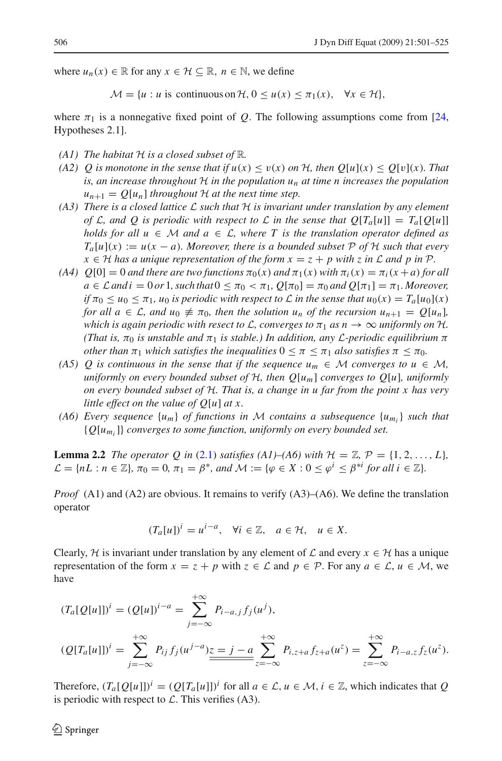where  $u_n(x) \in \mathbb{R}$  for any  $x \in \mathcal{H} \subseteq \mathbb{R}$ ,  $n \in \mathbb{N}$ , we define

 $M = \{u : u \text{ is continuous on } H, 0 \le u(x) \le \pi_1(x), \forall x \in H\},\$ 

where  $\pi_1$  is a nonnegative fixed point of *Q*. The following assumptions come from [\[24,](#page-24-5) Hypotheses 2.1].

- *(A1) The habitat <sup>H</sup> is a closed subset of* <sup>R</sup>*.*
- *(A2) Q is monotone in the sense that if*  $u(x) \le v(x)$  *<i>on*  $H$ *, then*  $Q[u](x) \le Q[v](x)$ *. That is, an increase throughout H in the population un at time n increases the population*  $u_{n+1} = Q[u_n]$  *throughout*  $H$  *at the next time step.*
- *(A3) There is a closed lattice L such that H is invariant under translation by any element of L*, and *O* is periodic with respect to *L* in the sense that  $O[T_a[u]] = T_a[O[u]]$ *holds for all*  $u \in M$  *and*  $a \in L$ *, where* T *is the translation operator defined as*  $T_a[u](x) := u(x - a)$ *. Moreover, there is a bounded subset*  $P$  *of*  $H$  *such that every*  $x \in H$  *has a unique representation of the form*  $x = z + p$  *with z in*  $\mathcal L$  *and*  $p$  *in*  $\mathcal P$ *.*
- *(A4)*  $Q[0] = 0$  *and there are two functions*  $\pi_0(x)$  *and*  $\pi_1(x)$  *with*  $\pi_i(x) = \pi_i(x+a)$  *for all*  $a \in \mathcal{L}$  *and*  $i = 0$  *or* 1*, such that*  $0 \leq \pi_0 \leq \pi_1$ ,  $Q[\pi_0] = \pi_0$  *and*  $Q[\pi_1] = \pi_1$ *. Moreover, if*  $\pi_0 \le u_0 \le \pi_1$ ,  $u_0$  *is periodic with respect to L in the sense that*  $u_0(x) = T_a[u_0](x)$ *for all*  $a \in \mathcal{L}$ *, and*  $u_0 \neq \pi_0$ *, then the solution*  $u_n$  *of the recursion*  $u_{n+1} = Q[u_n]$ *, which is again periodic with resect to L, converges to*  $\pi_1$  *as*  $n \to \infty$  *uniformly on*  $H$ *. (That is,*  $\pi_0$  *is unstable and*  $\pi_1$  *is stable.) In addition, any L-periodic equilibrium*  $\pi$ *other than*  $\pi_1$  *which satisfies the inequalities*  $0 \leq \pi \leq \pi_1$  *also satisfies*  $\pi \leq \pi_0$ *.*
- *(A5) Q is continuous in the sense that if the sequence*  $u_m \in M$  *<i>converges to*  $u \in M$ , *uniformly on every bounded subset of <sup>H</sup>, then Q*[*um*] *converges to Q*[*u*]*, uniformly on every bounded subset of H. That is, a change in u far from the point x has very little effect on the value of Q*[*u*] *at x.*
- *(A6) Every sequence*  $\{u_m\}$  *of functions in M contains a subsequence*  $\{u_m\}$  *such that* {*Q*[*umi*]} *converges to some function, uniformly on every bounded set.*

<span id="page-5-0"></span>**Lemma 2.2** *The operator Q in* [\(2.1\)](#page-2-1) *satisfies* (A1)–(A6) with  $\mathcal{H} = \mathbb{Z}$ ,  $\mathcal{P} = \{1, 2, \ldots, L\}$  $\mathcal{L} = \{nL : n \in \mathbb{Z}\}, \pi_0 = 0, \pi_1 = \beta^*$ , and  $\mathcal{M} := \{\varphi \in X : 0 \leq \varphi^i \leq \beta^{*i} \text{ for all } i \in \mathbb{Z}\}.$ 

*Proof* (A1) and (A2) are obvious. It remains to verify (A3)–(A6). We define the translation operator

$$
(T_a[u])^i = u^{i-a}, \quad \forall i \in \mathbb{Z}, \quad a \in \mathcal{H}, \quad u \in X.
$$

Clearly,  $H$  is invariant under translation by any element of  $L$  and every  $x \in H$  has a unique representation of the form  $x = z + p$  with  $z \in \mathcal{L}$  and  $p \in \mathcal{P}$ . For any  $a \in \mathcal{L}$ ,  $u \in \mathcal{M}$ , we have

$$
(T_a[Q[u]])^i = (Q[u])^{i-a} = \sum_{j=-\infty}^{+\infty} P_{i-a,j} f_j(u^j),
$$
  

$$
(Q[T_a[u]])^i = \sum_{j=-\infty}^{+\infty} P_{ij} f_j(u^{j-a}) \underbrace{z=j-a}_{\geq=-\infty} \sum_{z=-\infty}^{+\infty} P_{i,z+a} f_{z+a}(u^z) = \sum_{z=-\infty}^{+\infty} P_{i-a,z} f_z(u^z).
$$

Therefore,  $(T_a[Q[u]])^i = (Q[T_a[u]])^i$  for all  $a \in \mathcal{L}, u \in \mathcal{M}, i \in \mathbb{Z}$ , which indicates that *Q* is periodic with respect to  $\mathcal{L}$ . This verifies (A3).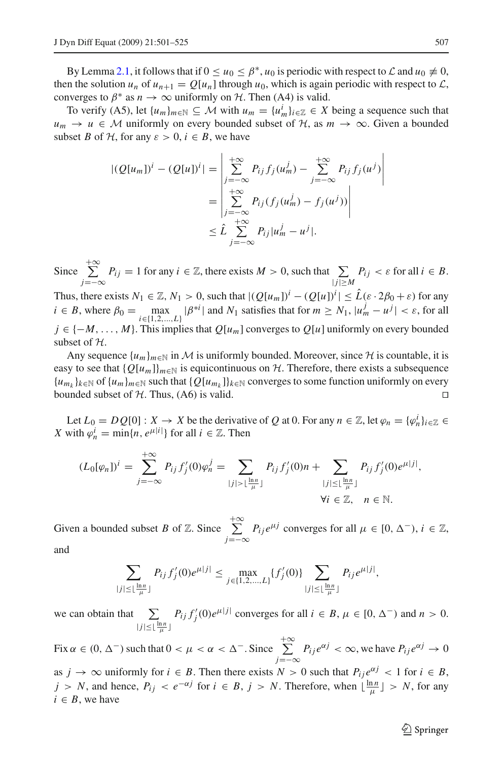By Lemma [2.1,](#page-3-0) it follows that if  $0 \le u_0 \le \beta^*$ ,  $u_0$  is periodic with respect to  $\mathcal L$  and  $u_0 \ne 0$ , then the solution  $u_n$  of  $u_{n+1} = O[u_n]$  through  $u_0$ , which is again periodic with respect to  $\mathcal{L}$ , converges to  $\beta^*$  as  $n \to \infty$  uniformly on *H*. Then (A4) is valid.

To verify (A5), let  $\{u_m\}_{m \in \mathbb{N}} \subseteq \mathcal{M}$  with  $u_m = \{u_m^i\}_{i \in \mathbb{Z}} \in X$  being a sequence such that *u<sub>m</sub>* → *u* ∈ *M* uniformly on every bounded subset of *H*, as  $m \to \infty$ . Given a bounded subset *B* of *H*, for any  $\varepsilon > 0$ ,  $i \in B$ , we have

$$
|(Q[u_m])^i - (Q[u])^i| = \left| \sum_{j=-\infty}^{+\infty} P_{ij} f_j(u_m^j) - \sum_{j=-\infty}^{+\infty} P_{ij} f_j(u^j) \right|
$$
  
= 
$$
\left| \sum_{j=-\infty}^{+\infty} P_{ij} (f_j(u_m^j) - f_j(u^j)) \right|
$$
  

$$
\leq \hat{L} \sum_{j=-\infty}^{+\infty} P_{ij} |u_m^j - u^j|.
$$

Since  $\sum_{ }^{ + \infty}$  $\sum_{j=-\infty} P_{ij} = 1$  for any  $i \in \mathbb{Z}$ , there exists  $M > 0$ , such that  $\sum_{|j| \ge M} P_{ij} < \varepsilon$  for all  $i \in B$ .

Thus, there exists  $N_1 \in \mathbb{Z}$ ,  $N_1 > 0$ , such that  $|Q[u_m]|^i - (Q[u])^i| \leq \hat{L}(\varepsilon \cdot 2\beta_0 + \varepsilon)$  for any  $i \in B$ , where  $\beta_0 = \max_{i \in \{1, 2, ..., L\}} |\beta^{*i}|$  and  $N_1$  satisfies that for  $m \ge N_1$ ,  $|u_m^j - u^j| < \varepsilon$ , for all *j* ∈ {−*M*,..., *M*}. This implies that *Q*[*um*] converges to *Q*[*u*] uniformly on every bounded subset of *H*.

Any sequence  ${u_m}_{m \in \mathbb{N}}$  in *M* is uniformly bounded. Moreover, since  $H$  is countable, it is easy to see that  ${Q[u_m]}_{m \in \mathbb{N}}$  is equicontinuous on *H*. Therefore, there exists a subsequence  ${u_{m_k}}_{k \in \mathbb{N}}$  of  ${u_m}_{m \in \mathbb{N}}$  such that  ${Q[u_{m_k}]}_{k \in \mathbb{N}}$  converges to some function uniformly on every bounded subset of  $H$ . Thus, (A6) is valid.

Let  $L_0 = DQ[0]$ :  $X \to X$  be the derivative of Q at 0. For any  $n \in \mathbb{Z}$ , let  $\varphi_n = {\varphi_n^i}_{i \in \mathbb{Z}} \in$ *X* with  $\varphi_n^i = \min\{n, e^{\mu |i|}\}\$ for all  $i \in \mathbb{Z}$ . Then

$$
(L_0[\varphi_n])^i = \sum_{j=-\infty}^{+\infty} P_{ij} f'_j(0) \varphi_n^j = \sum_{|j| > \lfloor \frac{\ln n}{\mu} \rfloor} P_{ij} f'_j(0) n + \sum_{|j| \leq \lfloor \frac{\ln n}{\mu} \rfloor} P_{ij} f'_j(0) e^{\mu |j|},
$$
  
\n
$$
\forall i \in \mathbb{Z}, \quad n \in \mathbb{N}.
$$

Given a bounded subset *B* of  $\mathbb{Z}$ . Since  $\sum_{ }^{ + \infty}$ *j*=−∞  $P_{ij}e^{\mu j}$  converges for all  $\mu \in [0, \Delta^{-}), i \in \mathbb{Z}$ , and

> $\sum$  $|j|$ ≤  $\lfloor \frac{\ln n}{\mu} \rfloor$  $P_{ij} f'_{j}(0) e^{\mu|j|} \le \max_{j \in \{1,2,...,L\}} \{f'_{j}(0)\}$   $\sum_{j=1}^{N}$  $|j|$ ≤  $\lfloor \frac{\ln n}{\mu} \rfloor$  $P_{ij}e^{\mu|j|},$

we can obtain that  $\sum$  $|j|$ ≤  $\lfloor \frac{\ln n}{\mu} \rfloor$  $P_{ij} f'_{j}(0) e^{\mu |j|}$  converges for all  $i \in B$ ,  $\mu \in [0, \Delta^{-})$  and  $n > 0$ .

Fix  $\alpha \in (0, \Delta^{-})$  such that  $0 < \mu < \alpha < \Delta^{-}$ . Since  $\sum_{n=1}^{+\infty}$  $\sum_{j=-\infty}^{\infty} P_{ij} e^{\alpha j} < \infty$ , we have  $P_{ij} e^{\alpha j} \to 0$ as  $j \to \infty$  uniformly for  $i \in B$ . Then there exists  $N > 0$  such that  $P_{ij}e^{\alpha j} < 1$  for  $i \in B$ , *j* > *N*, and hence,  $P_{ij}$  <  $e^{-\alpha j}$  for  $i \in B$ ,  $j$  > *N*. Therefore, when  $\lfloor \frac{\ln n}{\mu} \rfloor$  > *N*, for any  $i \in B$ , we have

 $\circled{2}$  Springer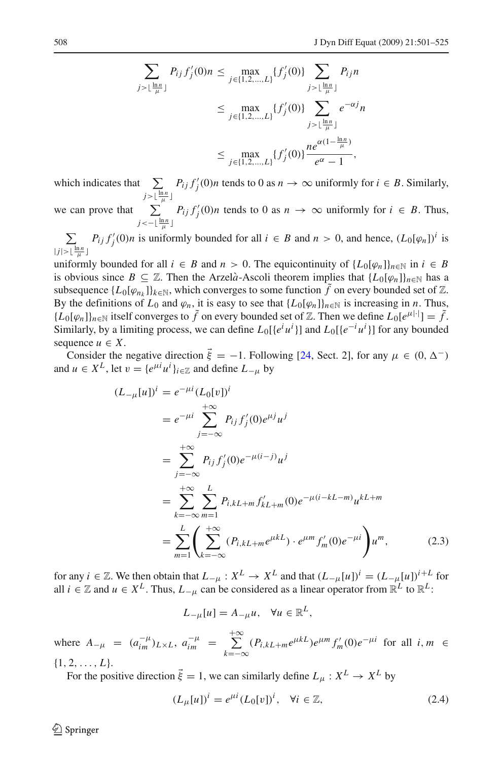$$
\sum_{j > \lfloor \frac{\ln n}{\mu} \rfloor} P_{ij} f'_j(0) n \le \max_{j \in \{1, 2, ..., L\}} \{f'_j(0)\} \sum_{j > \lfloor \frac{\ln n}{\mu} \rfloor} P_{ij} n
$$
  

$$
\le \max_{j \in \{1, 2, ..., L\}} \{f'_j(0)\} \sum_{j > \lfloor \frac{\ln n}{\mu} \rfloor} e^{-\alpha j} n
$$
  

$$
\le \max_{j \in \{1, 2, ..., L\}} \{f'_j(0)\} \frac{ne^{\alpha(1 - \frac{\ln n}{\mu})}}{e^{\alpha} - 1},
$$

which indicates that  $\sum$  $j > \lfloor \frac{\ln n}{\mu} \rfloor$  $P_{ij} f'_{j}(0) n$  tends to 0 as  $n \to \infty$  uniformly for  $i \in B$ . Similarly,

we can prove that  $\sum$  $j$  <−  $\lfloor \frac{\ln n}{\mu} \rfloor$  $P_{ij} f'_{j}(0)n$  tends to 0 as  $n \to \infty$  uniformly for  $i \in B$ . Thus,

Σ  $|j| > \lfloor \frac{\ln n}{\mu} \rfloor$  $P_{ij} f'_{j}(0)n$  is uniformly bounded for all  $i \in B$  and  $n > 0$ , and hence,  $(L_0[\varphi_n])^{i}$  is

uniformly bounded for all  $i \in B$  and  $n > 0$ . The equicontinuity of  $\{L_0[\varphi_n]\}_{n \in \mathbb{N}}$  in  $i \in B$ is obvious since  $B \subseteq \mathbb{Z}$ . Then the Arzelà-Ascoli theorem implies that  $\{L_0[\varphi_n]\}_{n\in\mathbb{N}}$  has a subsequence  $\{L_0[\varphi_{n_k}]\}_{k\in\mathbb{N}}$ , which converges to some function  $\tilde{f}$  on every bounded set of Z. By the definitions of  $L_0$  and  $\varphi_n$ , it is easy to see that  $\{L_0[\varphi_n]\}_{n\in\mathbb{N}}$  is increasing in *n*. Thus,  ${L_0[\varphi_n]}_{n \in \mathbb{N}}$  itself converges to  $\tilde{f}$  on every bounded set of Z. Then we define  $L_0[e^{\mu|\cdot|}] = \tilde{f}$ . Similarly, by a limiting process, we can define  $L_0[\lbrace e^i u^i \rbrace]$  and  $L_0[\lbrace e^{-i} u^i \rbrace]$  for any bounded sequence  $u \in X$ .

Consider the negative direction  $\vec{\xi} = -1$ . Following [\[24](#page-24-5), Sect. 2], for any  $\mu \in (0, \Delta^{-})$ and  $u \in X^L$ , let  $v = \{e^{\mu i}u^i\}_{i \in \mathbb{Z}}$  and define  $L_{-\mu}$  by

$$
(L_{-\mu}[u])^{i} = e^{-\mu i} (L_{0}[v])^{i}
$$
  
\n
$$
= e^{-\mu i} \sum_{j=-\infty}^{+\infty} P_{ij} f'_{j}(0) e^{\mu j} u^{j}
$$
  
\n
$$
= \sum_{j=-\infty}^{+\infty} P_{ij} f'_{j}(0) e^{-\mu (i-j)} u^{j}
$$
  
\n
$$
= \sum_{k=-\infty}^{+\infty} \sum_{m=1}^{L} P_{i,kL+m} f'_{kL+m}(0) e^{-\mu (i-kL-m)} u^{kL+m}
$$
  
\n
$$
= \sum_{m=1}^{L} \left( \sum_{k=-\infty}^{+\infty} (P_{i,kL+m} e^{\mu kL}) \cdot e^{\mu m} f'_{m}(0) e^{-\mu i} \right) u^{m}, \qquad (2.3)
$$

for any *i* ∈ Z. We then obtain that  $L_{-\mu}: X^L \to X^L$  and that  $(L_{-\mu}[u])^i = (L_{-\mu}[u])^{i+L}$  for all *i* ∈  $\mathbb{Z}$  and *u* ∈  $X^L$ . Thus,  $L_{-\mu}$  can be considered as a linear operator from  $\mathbb{R}^L$  to  $\mathbb{R}^L$ .

$$
L_{-\mu}[u] = A_{-\mu}u, \quad \forall u \in \mathbb{R}^L,
$$

where  $A_{-\mu} = (a_{im}^{-\mu})_{L \times L}, a_{im}^{-\mu} = \sum_{n=1}^{+\infty}$  $\sum_{k=-\infty}^{\infty} (P_{i,kL+m}e^{\mu kL})e^{\mu m} f'_{m}(0)e^{-\mu i}$  for all *i*, *m* ∈  $\{1, 2, \ldots, L\}.$ 

For the positive direction  $\vec{\xi} = 1$ , we can similarly define  $L_{\mu}: X^{L} \to X^{L}$  by

$$
(L_{\mu}[u])^{i} = e^{\mu i} (L_{0}[v])^{i}, \quad \forall i \in \mathbb{Z}, \tag{2.4}
$$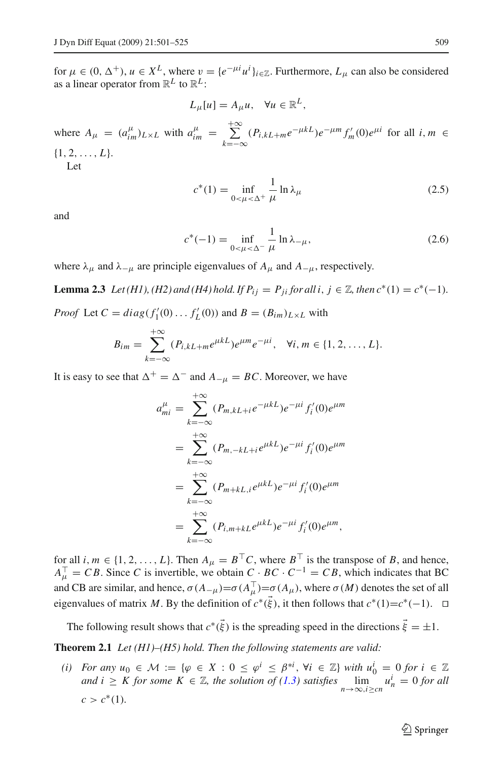for  $\mu \in (0, \Delta^+)$ ,  $u \in X^L$ , where  $v = \{e^{-\mu i} u^i\}_{i \in \mathbb{Z}}$ . Furthermore,  $L_\mu$  can also be considered as a linear operator from  $\mathbb{R}^L$  to  $\mathbb{R}^L$ :

$$
L_{\mu}[u] = A_{\mu}u, \quad \forall u \in \mathbb{R}^{L},
$$

where  $A_{\mu} = (a_{im}^{\mu})_{L \times L}$  with  $a_{im}^{\mu} = \sum_{i=1}^{+\infty}$  $\sum_{k=-\infty}^{+\infty} (P_{i,kL+m}e^{-\mu kL})e^{-\mu m} f'_{m}(0)e^{\mu i}$  for all *i*, *m* ∈  $\{1, 2, \ldots, L\}.$ Let

$$
c^*(1) = \inf_{0 < \mu < \Delta^+} \frac{1}{\mu} \ln \lambda_{\mu}
$$
 (2.5)

<span id="page-8-2"></span><span id="page-8-1"></span>and

$$
c^*(-1) = \inf_{0 < \mu < \Delta^-} \frac{1}{\mu} \ln \lambda_{-\mu},
$$
 (2.6)

<span id="page-8-3"></span>where  $\lambda_{\mu}$  and  $\lambda_{-\mu}$  are principle eigenvalues of  $A_{\mu}$  and  $A_{-\mu}$ , respectively.

**Lemma 2.3** *Let*(*H1*), (*H2*) *and* (*H4*) *hold. If*  $P_{ij} = P_{ji}$  *for all i*,  $j \in \mathbb{Z}$ *, then*  $c^*(1) = c^*(-1)$ *. Proof* Let  $C = diag(f'_1(0) \dots f'_L(0))$  and  $B = (B_{im})_{L \times L}$  with

$$
B_{im} = \sum_{k=-\infty}^{+\infty} (P_{i,kL+m}e^{\mu kL})e^{\mu m}e^{-\mu i}, \quad \forall i, m \in \{1, 2, ..., L\}.
$$

It is easy to see that  $\Delta^+ = \Delta^-$  and  $A_{-\mu} = BC$ . Moreover, we have

$$
a_{mi}^{\mu} = \sum_{k=-\infty}^{+\infty} (P_{m,kL+i}e^{-\mu kL})e^{-\mu i} f'_i(0)e^{\mu m}
$$
  
= 
$$
\sum_{k=-\infty}^{+\infty} (P_{m,-kL+i}e^{\mu kL})e^{-\mu i} f'_i(0)e^{\mu m}
$$
  
= 
$$
\sum_{k=-\infty}^{+\infty} (P_{m+kL,i}e^{\mu kL})e^{-\mu i} f'_i(0)e^{\mu m}
$$
  
= 
$$
\sum_{k=-\infty}^{+\infty} (P_{i,m+kL}e^{\mu kL})e^{-\mu i} f'_i(0)e^{\mu m},
$$

for all *i*,  $m \in \{1, 2, ..., L\}$ . Then  $A_{\mu} = B^{\top}C$ , where  $B^{\top}$  is the transpose of *B*, and hence,  $A_{\mu}^{\top} = CB$ . Since *C* is invertible, we obtain  $C \cdot BC \cdot C^{-1} = CB$ , which indicates that BC and CB are similar, and hence,  $\sigma(A_{-\mu}) = \sigma(A_{\mu}^{-}) = \sigma(A_{\mu})$ , where  $\sigma(M)$  denotes the set of all eigenvalues of matrix *M*. By the definition of  $c^*(\vec{\xi})$ , it then follows that  $c^*(1)=c^*(-1)$ .  $\Box$ 

<span id="page-8-0"></span>The following result shows that  $c^*(\vec{\xi})$  is the spreading speed in the directions  $\vec{\xi} = \pm 1$ .

**Theorem 2.1** *Let (H1)–(H5) hold. Then the following statements are valid:*

*(i)* For any  $u_0 \in \mathcal{M} := \{ \varphi \in X : 0 \leq \varphi^i \leq \beta^{*i}, \forall i \in \mathbb{Z} \}$  with  $u_0^i = 0$  for  $i \in \mathbb{Z}$ *and*  $i \geq K$  *for some*  $K \in \mathbb{Z}$ *, the solution of*  $(1.3)$  *satisfies*  $\lim_{n \to \infty, i \geq cn} u_n^i = 0$  *for all*  $c > c^*(1)$ .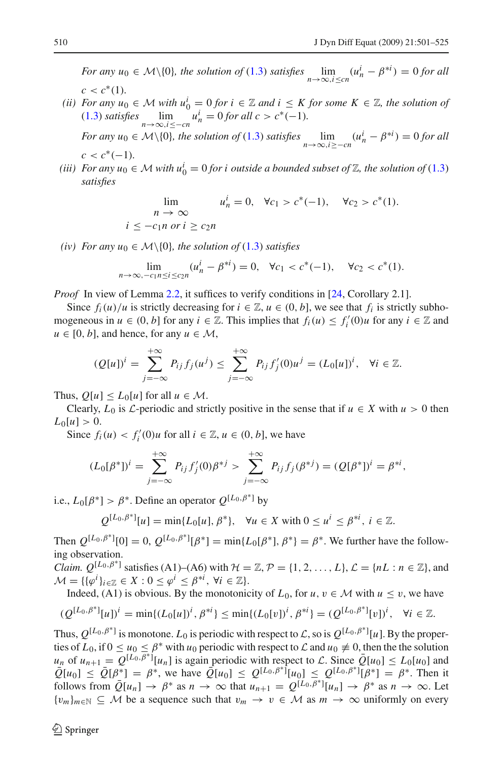*For any*  $u_0 \in \mathcal{M}\setminus\{0\}$ , the solution of [\(1.3\)](#page-1-1) satisfies  $\lim_{n\to\infty, i\leq cn} (u_n^i - \beta^{*i}) = 0$  for all  $c < c^*(1)$ .

*(ii)* For any  $u_0$  ∈ *M* with  $u_0^i = 0$  *for*  $i \in \mathbb{Z}$  and  $i \leq K$  *for some*  $K \in \mathbb{Z}$ *, the solution of* [\(1.3\)](#page-1-1) *satisfies*  $\lim_{n \to \infty, i \leq -cn} u_n^i = 0$  *for all c* > *c*<sup>∗</sup>(−1)*.* 

*For any*  $u_0 \in \mathcal{M}\setminus\{0\}$ , the solution of [\(1.3\)](#page-1-1) satisfies  $\lim_{n\to\infty, i\geq -cn}(u_n^i - \beta^{*i}) = 0$  for all  $c < c^*(-1)$ .

*(iii)* For any  $u_0 \in M$  with  $u_0^i = 0$  *for i outside a bounded subset of*  $\mathbb{Z}$ *, the solution of* [\(1.3\)](#page-1-1) *satisfies*

$$
\lim_{n \to \infty} u_n^i = 0, \quad \forall c_1 > c^*(-1), \quad \forall c_2 > c^*(1).
$$
\n
$$
i \le -c_1 n \text{ or } i \ge c_2 n
$$

*(iv)* For any  $u_0 \in \mathcal{M}\backslash\{0\}$ , the solution of [\(1.3\)](#page-1-1) satisfies

$$
\lim_{n \to \infty, -c_1 n \le i \le c_2 n} (u_n^i - \beta^{*i}) = 0, \quad \forall c_1 < c^*(-1), \quad \forall c_2 < c^*(1).
$$

*Proof* In view of Lemma [2.2,](#page-5-0) it suffices to verify conditions in [\[24,](#page-24-5) Corollary 2.1].

Since  $f_i(u)/u$  is strictly decreasing for  $i \in \mathbb{Z}$ ,  $u \in (0, b]$ , we see that  $f_i$  is strictly subhomogeneous in  $u \in (0, b]$  for any  $i \in \mathbb{Z}$ . This implies that  $f_i(u) \leq f'_i(0)u$  for any  $i \in \mathbb{Z}$  and  $u \in [0, b]$ , and hence, for any  $u \in \mathcal{M}$ ,

$$
(Q[u])^{i} = \sum_{j=-\infty}^{+\infty} P_{ij} f_j(u^{j}) \le \sum_{j=-\infty}^{+\infty} P_{ij} f'_j(0) u^{j} = (L_0[u])^{i}, \quad \forall i \in \mathbb{Z}.
$$

Thus,  $Q[u] \le L_0[u]$  for all  $u \in \mathcal{M}$ .

Clearly,  $L_0$  is  $\mathcal{L}$ -periodic and strictly positive in the sense that if  $u \in X$  with  $u > 0$  then  $L_0[u] > 0.$ 

Since  $f_i(u) < f'_i(0)u$  for all  $i \in \mathbb{Z}, u \in (0, b]$ , we have

$$
(L_0[\beta^*])^i = \sum_{j=-\infty}^{+\infty} P_{ij} f'_j(0) \beta^{*j} > \sum_{j=-\infty}^{+\infty} P_{ij} f_j(\beta^{*j}) = (Q[\beta^*])^i = \beta^{*i},
$$

i.e.,  $L_0[\beta^*] > \beta^*$ . Define an operator  $Q^{[L_0,\beta^*]}$  by

$$
Q^{[L_0,\beta^*]}[u] = \min\{L_0[u], \beta^*\}, \quad \forall u \in X \text{ with } 0 \le u^i \le \beta^{*i}, i \in \mathbb{Z}.
$$

Then  $Q^{[L_0,\beta^*]}[0] = 0$ ,  $Q^{[L_0,\beta^*]}[\beta^*] = \min\{L_0[\beta^*], \beta^*\} = \beta^*$ . We further have the following observation.

*Claim.*  $Q^{[L_0,\beta^*]}$  satisfies (A1)–(A6) with  $\mathcal{H} = \mathbb{Z}, \mathcal{P} = \{1, 2, ..., L\}, \mathcal{L} = \{nL : n \in \mathbb{Z}\},$  and  $\mathcal{M} = \{ {\{\varphi^i\}}_{i \in \mathbb{Z}} \in X : 0 \le \varphi^i \le \beta^{*i}, \ \forall i \in \mathbb{Z} \}.$ 

Indeed, (A1) is obvious. By the monotonicity of  $L_0$ , for  $u, v \in M$  with  $u \le v$ , we have

$$
(Q^{[L_0,\beta^*]}[u])^i = \min\{(L_0[u])^i, \beta^{*i}\} \le \min\{(L_0[v])^i, \beta^{*i}\} = (Q^{[L_0,\beta^*]}[v])^i, \quad \forall i \in \mathbb{Z}.
$$

Thus,  $Q^{[L_0,\beta^*]}$  is monotone.  $L_0$  is periodic with respect to  $\mathcal{L}$ , so is  $Q^{[L_0,\beta^*]}[u]$ . By the properties of  $L_0$ , if  $0 \le u_0 \le \beta^*$  with  $u_0$  periodic with respect to  $\mathcal L$  and  $u_0 \ne 0$ , then the the solution  $u_n$  of  $u_{n+1} = Q^{[L_0, \overline{\beta^*}]}[u_n]$  is again periodic with respect to *L*. Since  $Q[u_0] \le L_0[u_0]$  and  $Q[u_0] \leq Q[u_0] \leq Q^{[L_0,\beta^*]}[u_0] \leq Q^{[L_0,\beta^*]}[u_0] \leq Q^{[L_0,\beta^*]}[B^*] = \beta^*$ . Then it follows from  $\overline{Q}[u_n] \to \beta^*$  as  $n \to \infty$  that  $u_{n+1} = Q^{[L_0, \overline{\beta}^*]}[u_n] \to \beta^*$  as  $n \to \infty$ . Let  ${v_m}_{m \in \mathbb{N}} \subseteq M$  be a sequence such that  $v_m \to v \in M$  as  $m \to \infty$  uniformly on every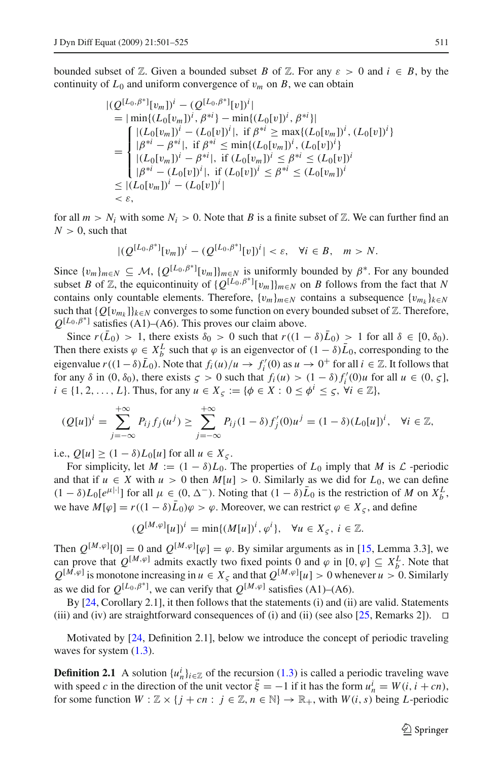bounded subset of  $\mathbb{Z}$ . Given a bounded subset *B* of  $\mathbb{Z}$ . For any  $\varepsilon > 0$  and  $i \in B$ , by the continuity of  $L_0$  and uniform convergence of  $v_m$  on *B*, we can obtain

$$
|(Q^{[L_0, \beta^*]}[v_m])^i - (Q^{[L_0, \beta^*]}[v])^i|
$$
  
\n
$$
= |\min\{ (L_0[v_m])^i, \beta^{*i} \} - \min\{ (L_0[v])^i, \beta^{*i} \} |
$$
  
\n
$$
= \begin{cases} |(L_0[v_m])^i - (L_0[v])^i|, \text{ if } \beta^{*i} \ge \max\{ (L_0[v_m])^i, (L_0[v])^i \} \\ |\beta^{*i} - \beta^{*i}|, \text{ if } \beta^{*i} \le \min\{ (L_0[v_m])^i, (L_0[v])^i \} \\ |(L_0[v_m])^i - \beta^{*i}|, \text{ if } (L_0[v_m])^i \le \beta^{*i} \le (L_0[v])^i \\ |\beta^{*i} - (L_0[v])^i|, \text{ if } (L_0[v])^i \le \beta^{*i} \le (L_0[v_m])^i \\ < \varepsilon, \end{cases}
$$

for all  $m > N_i$  with some  $N_i > 0$ . Note that *B* is a finite subset of Z. We can further find an  $N > 0$ , such that

$$
|(Q^{[L_0,\beta^*]}[v_m])^i-(Q^{[L_0,\beta^*]}[v])^i|<\varepsilon,\quad\forall i\in B,\quad m>N.
$$

Since  $\{v_m\}_{m\in\mathbb{N}} \subseteq \mathcal{M}, \{Q^{[L_0,\beta^*]}[v_m]\}_{m\in\mathbb{N}}$  is uniformly bounded by  $\beta^*$ . For any bounded subset *B* of *Z*, the equicontinuity of  $\{Q^{[L_0, \beta^*]}[v_m]\}_{m \in N}$  on *B* follows from the fact that *N* contains only countable elements. Therefore,  $\{v_m\}_{m\in\mathbb{N}}$  contains a subsequence  $\{v_{m_k}\}_{k\in\mathbb{N}}$ such that  ${Q[v_{m_k}]}_{k\in N}$  converges to some function on every bounded subset of  $\mathbb{Z}$ . Therefore,  $Q^{[L_0,\beta^*]}$  satisfies (A1)–(A6). This proves our claim above.

Since  $r(\bar{L}_0) > 1$ , there exists  $\delta_0 > 0$  such that  $r((1 - \delta)\bar{L}_0) > 1$  for all  $\delta \in [0, \delta_0)$ . Then there exists  $\varphi \in X_b^L$  such that  $\varphi$  is an eigenvector of  $(1 - \delta) \bar{L}_0$ , corresponding to the eigenvalue  $r((1-\delta)\bar{L}_0)$ . Note that  $f_i(u)/u \to f'_i(0)$  as  $u \to 0^+$  for all  $i \in \mathbb{Z}$ . It follows that for any  $\delta$  in (0,  $\delta_0$ ), there exists  $\zeta > 0$  such that  $f_i(u) > (1 - \delta) f'_i(0) u$  for all  $u \in (0, \zeta]$ ,  $i \in \{1, 2, \ldots, L\}$ . Thus, for any  $u \in X_{\varsigma} := \{\phi \in X : 0 \leq \phi^i \leq \varsigma, \forall i \in \mathbb{Z}\},\$ 

$$
(Q[u])^{i} = \sum_{j=-\infty}^{+\infty} P_{ij} f_j(u^{j}) \ge \sum_{j=-\infty}^{+\infty} P_{ij} (1-\delta) f'_j(0) u^{j} = (1-\delta) (L_0[u])^{i}, \quad \forall i \in \mathbb{Z},
$$

i.e.,  $Q[u] \ge (1 - \delta)L_0[u]$  for all  $u \in X_{\varsigma}$ .

For simplicity, let  $M := (1 - \delta)L_0$ . The properties of  $L_0$  imply that M is  $\mathcal L$  -periodic and that if  $u \in X$  with  $u > 0$  then  $M[u] > 0$ . Similarly as we did for  $L_0$ , we can define  $(1 - \delta)L_0[e^{\mu|\cdot|}]$  for all  $\mu \in (0, \Delta^{-})$ . Noting that  $(1 - \delta)\overline{L}_0$  is the restriction of *M* on  $X_b^L$ , we have  $M[\varphi] = r((1 - \delta)\bar{L}_0)\varphi > \varphi$ . Moreover, we can restrict  $\varphi \in X_{\mathcal{L}}$ , and define

$$
(Q^{[M,\varphi]}[u])^i = \min\{(M[u])^i, \varphi^i\}, \quad \forall u \in X_{\varsigma}, i \in \mathbb{Z}.
$$

Then  $Q^{[M,\varphi]}[0] = 0$  and  $Q^{[M,\varphi]}[\varphi] = \varphi$ . By similar arguments as in [\[15,](#page-23-6) Lemma 3.3], we can prove that  $Q^{[M,\varphi]}$  admits exactly two fixed points 0 and  $\varphi$  in  $[0,\varphi] \subseteq X_b^L$ . Note that  $Q^{[M,\varphi]}$  is monotone increasing in  $u \in X_{\zeta}$  and that  $Q^{[M,\varphi]}[u] > 0$  whenever  $u > 0$ . Similarly as we did for  $Q^{[L_0,\beta^*]}$ , we can verify that  $Q^{[M,\varphi]}$  satisfies (A1)–(A6).

By [\[24](#page-24-5), Corollary 2.1], it then follows that the statements (i) and (ii) are valid. Statements (iii) and (iv) are straightforward consequences of (i) and (ii) (see also [\[25,](#page-24-3) Remarks 2]).  $\Box$ 

<span id="page-10-0"></span>Motivated by [\[24,](#page-24-5) Definition 2.1], below we introduce the concept of periodic traveling waves for system  $(1.3)$ .

**Definition 2.1** A solution  $\{u_n^i\}_{i \in \mathbb{Z}}$  of the recursion [\(1.3\)](#page-1-1) is called a periodic traveling wave with speed *c* in the direction of the unit vector  $\vec{\xi} = -1$  if it has the form  $u_n^i = W(i, i + cn)$ , for some function  $W : \mathbb{Z} \times \{j + cn : j \in \mathbb{Z}, n \in \mathbb{N}\} \to \mathbb{R}_+$ , with  $W(i, s)$  being *L*-periodic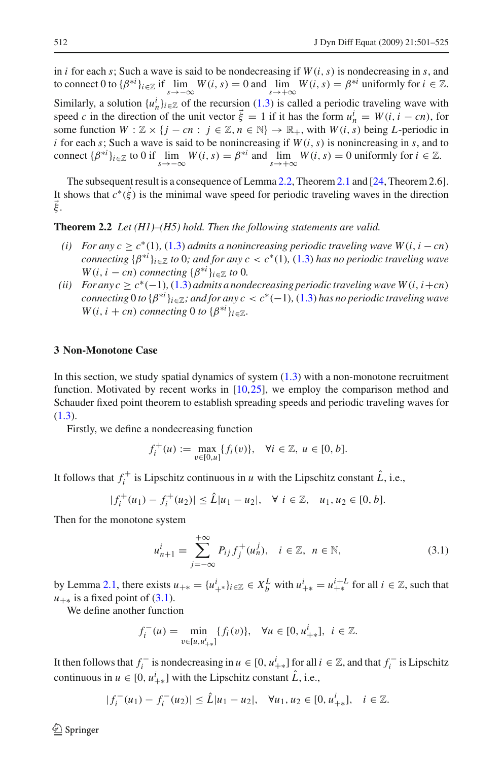in *i* for each *s*; Such a wave is said to be nondecreasing if  $W(i, s)$  is nondecreasing in *s*, and to connect 0 to  $\{\beta^{*i}\}_{i\in\mathbb{Z}}$  if  $\lim_{s\to-\infty} W(i, s) = 0$  and  $\lim_{s\to+\infty} W(i, s) = \beta^{*i}$  uniformly for  $i \in \mathbb{Z}$ . Similarly, a solution  $\{u_n^i\}_{i \in \mathbb{Z}}$  of the recursion [\(1.3\)](#page-1-1) is called a periodic traveling wave with speed *c* in the direction of the unit vector  $\vec{\xi} = 1$  if it has the form  $u_n^i = W(i, i - cn)$ , for some function  $W : \mathbb{Z} \times \{j - cn : j \in \mathbb{Z}, n \in \mathbb{N}\} \to \mathbb{R}_+$ , with  $W(i, s)$  being *L*-periodic in *i* for each *s*; Such a wave is said to be nonincreasing if  $W(i, s)$  is nonincreasing in *s*, and to connect  $\{\beta^{*i}\}_{i\in\mathbb{Z}}$  to 0 if  $\lim_{s\to -\infty} W(i, s) = \beta^{*i}$  and  $\lim_{s\to +\infty} W(i, s) = 0$  uniformly for  $i \in \mathbb{Z}$ .

The subsequent result is a consequence of Lemma [2.2,](#page-5-0) Theorem [2.1](#page-8-0) and [\[24](#page-24-5), Theorem 2.6]. It shows that  $c^*(\xi)$  is the minimal wave speed for periodic traveling waves in the direction ξ .

**Theorem 2.2** *Let (H1)–(H5) hold. Then the following statements are valid.*

- *(i)* For any  $c$  ≥  $c^*(1)$ , [\(1.3\)](#page-1-1) *admits a nonincreasing periodic traveling wave W*(*i, i* − *cn*) *connecting*  $\{\beta^{*i}\}_{i\in\mathbb{Z}}$  *to* 0*;* and for any  $c < c^*(1)$ ,  $(1.3)$  has no periodic traveling wave *W*(*i*, *i* − *cn*) *connecting* { $\beta^{*i}$ } $_{i \in \mathbb{Z}}$  *to* 0*.*
- *(ii) For any c* ≥  $c^*(-1)$ *,* [\(1.3\)](#page-1-1) *admits a nondecreasing periodic traveling wave W*(*i*, *i*+*cn*) *connecting* 0 *to* {β∗*<sup>i</sup>* }*i*∈Z*; and for any c* < *c*∗(−1)*,* [\(1.3\)](#page-1-1) *has no periodic traveling wave W*(*i*, *i* + *cn*) *connecting* 0 *to* { $\beta^{*i}$ }<sub>*i*</sub>∈ $\mathbb{Z}$ *.*

### <span id="page-11-0"></span>**3 Non-Monotone Case**

In this section, we study spatial dynamics of system  $(1.3)$  with a non-monotone recruitment function. Motivated by recent works in [\[10,](#page-23-10)[25](#page-24-3)], we employ the comparison method and Schauder fixed point theorem to establish spreading speeds and periodic traveling waves for [\(1.3\)](#page-1-1).

Firstly, we define a nondecreasing function

$$
f_i^+(u) := \max_{v \in [0, u]} \{f_i(v)\}, \quad \forall i \in \mathbb{Z}, \ u \in [0, b].
$$

It follows that  $f_i^+$  is Lipschitz continuous in *u* with the Lipschitz constant  $\hat{L}$ , i.e.,

$$
|f_i^+(u_1) - f_i^+(u_2)| \leq \hat{L}|u_1 - u_2|, \quad \forall \ i \in \mathbb{Z}, \quad u_1, u_2 \in [0, b].
$$

<span id="page-11-1"></span>Then for the monotone system

$$
u_{n+1}^i = \sum_{j=-\infty}^{+\infty} P_{ij} f_j^+(u_n^j), \quad i \in \mathbb{Z}, \ n \in \mathbb{N},
$$
 (3.1)

by Lemma [2.1,](#page-3-0) there exists  $u_{+*} = \{u_{+*}^i\}_{i \in \mathbb{Z}} \in X_b^L$  with  $u_{+*}^i = u_{+*}^{i+L}$  for all  $i \in \mathbb{Z}$ , such that  $u_{+*}$  is a fixed point of [\(3.1\)](#page-11-1).

We define another function

$$
f_i^-(u) = \min_{v \in [u, u_{i+1}^i]} \{f_i(v)\}, \quad \forall u \in [0, u_{i+1}^i], \ i \in \mathbb{Z}.
$$

It then follows that  $f_i^-$  is nondecreasing in  $u \in [0, u_{+*}^i]$  for all  $i \in \mathbb{Z}$ , and that  $f_i^-$  is Lipschitz continuous in  $u \in [0, u^i_{+*}]$  with the Lipschitz constant  $\hat{L}$ , i.e.,

$$
|f_i^-(u_1)-f_i^-(u_2)|\leq \hat{L}|u_1-u_2|,\quad \forall u_1,u_2\in [0,u_{+*}^i],\quad i\in\mathbb{Z}.
$$

 $\circledcirc$  Springer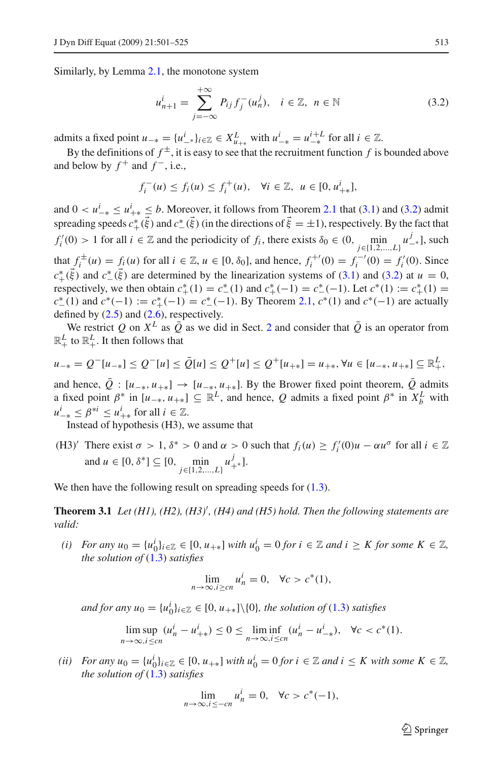<span id="page-12-0"></span>Similarly, by Lemma [2.1,](#page-3-0) the monotone system

$$
u_{n+1}^i = \sum_{j=-\infty}^{+\infty} P_{ij} f_j^-(u_n^j), \quad i \in \mathbb{Z}, \ n \in \mathbb{N}
$$
 (3.2)

admits a fixed point  $u_{-*} = \{u_{-*}^i\}_{i \in \mathbb{Z}} \in X_{u_{+*}}^L$  with  $u_{-*}^i = u_{-*}^{i+L}$  for all  $i \in \mathbb{Z}$ .

By the definitions of  $f^{\pm}$ , it is easy to see that the recruitment function f is bounded above and below by  $f^+$  and  $f^-$ , i.e.,

$$
f_i^-(u) \le f_i(u) \le f_i^+(u), \quad \forall i \in \mathbb{Z}, \ u \in [0, u_{+*}^i],
$$

and  $0 < u^i_{-*} \leq u^i_{+*} \leq b$ . Moreover, it follows from Theorem [2.1](#page-8-0) that [\(3.1\)](#page-11-1) and [\(3.2\)](#page-12-0) admit spreading speeds  $c^*_{+}(\vec{\xi})$  and  $c^*_{-}(\vec{\xi})$  (in the directions of  $\vec{\xi} = \pm 1$ ), respectively. By the fact that  $f'_i(0) > 1$  for all  $i \in \mathbb{Z}$  and the periodicity of  $f_i$ , there exists  $\delta_0 \in (0, \min_{j \in \{1,2,\dots,L\}} u^j_{-*}],$  such *i* that  $f_i^{\pm}(u) = f_i(u)$  for all *i* ∈ Z, *u* ∈ [0,  $\delta_0$ ], and hence,  $f_i^{+'}(0) = f_i^{-(0)} = f_i'(0)$ . Since  $c^*_{+}(\vec{\xi})$  and  $c^*_{-}(\vec{\xi})$  are determined by the linearization systems of [\(3.1\)](#page-11-1) and [\(3.2\)](#page-12-0) at *u* = 0, respectively, we then obtain  $c^*_{+}(1) = c^*_{-}(1)$  and  $c^*_{+}(-1) = c^*_{-}(-1)$ . Let  $c^*(1) := c^*_{+}(1)$  $c^*$  (1) and  $c^*(-1) := c^*$  (−1) =  $c^*$  (−1). By Theorem [2.1,](#page-8-0)  $c^*(1)$  and  $c^*(-1)$  are actually defined by  $(2.5)$  and  $(2.6)$ , respectively.

We restrict *Q* on  $X^L$  as  $\overline{Q}$  as we did in Sect. [2](#page-2-0) and consider that  $\overline{Q}$  is an operator from  $\mathbb{R}^L_+$  to  $\mathbb{R}^L_+$ . It then follows that

$$
u_{-*} = Q^{-}[u_{-*}] \leq Q^{-}[u] \leq \bar{Q}[u] \leq Q^{+}[u] \leq Q^{+}[u_{+*}] = u_{+*}, \forall u \in [u_{-*}, u_{+*}] \subseteq \mathbb{R}_{+}^{L},
$$

and hence,  $\overline{Q}$  : [*u*<sub>−\*</sub>, *u*<sub>+\*</sub>] → [*u*<sub>−\*</sub>, *u*<sub>+\*</sub>]. By the Brower fixed point theorem,  $\overline{Q}$  admits a fixed point  $\beta^*$  in  $[u_{-*}, u_{+*}] \subseteq \mathbb{R}^L$ , and hence, Q admits a fixed point  $\beta^*$  in  $X_b^L$  with  $u_{-*}^i \leq \beta^{*i} \leq u_{+*}^i$  for all  $i \in \mathbb{Z}$ .

Instead of hypothesis (H3), we assume that

(H3)' There exist  $\sigma > 1$ ,  $\delta^* > 0$  and  $\alpha > 0$  such that  $f_i(u) \ge f'_i(0)u - \alpha u^\sigma$  for all  $i \in \mathbb{Z}$ and  $u \in [0, \delta^*] \subseteq [0, \min_{j \in \{1, 2, ..., L\}} u^j_{+^*}].$ 

<span id="page-12-1"></span>We then have the following result on spreading speeds for  $(1.3)$ .

Theorem 3.1 Let (H1), (H2), (H3)<sup>'</sup>, (H4) and (H5) hold. Then the following statements are *valid:*

*(i)* For any  $u_0 = \{u_0^i\}_{i \in \mathbb{Z}} \in [0, u_{+*}]$  *with*  $u_0^i = 0$  *for*  $i \in \mathbb{Z}$  *and*  $i \geq K$  *for some*  $K \in \mathbb{Z}$ *, the solution of* [\(1.3\)](#page-1-1) *satisfies*

$$
\lim_{n \to \infty, i \geq cn} u_n^i = 0, \quad \forall c > c^*(1),
$$

*and for any*  $u_0 = \{u_0^i\}_{i \in \mathbb{Z}} \in [0, u_{+*}] \setminus \{0\}$ , the solution of [\(1.3\)](#page-1-1) *satisfies* 

$$
\limsup_{n \to \infty, i \leq cn} (u_n^i - u_{++}^i) \leq 0 \leq \liminf_{n \to \infty, i \leq cn} (u_n^i - u_{-+}^i), \quad \forall c < c^*(1).
$$

*(ii)* For any  $u_0 = \{u_0^i\}_{i \in \mathbb{Z}} \in [0, u_{+*}]$  *with*  $u_0^i = 0$  *for*  $i \in \mathbb{Z}$  *and*  $i \leq K$  *with some*  $K \in \mathbb{Z}$ *, the solution of* [\(1.3\)](#page-1-1) *satisfies*

$$
\lim_{n \to \infty, i \leq -cn} u_n^i = 0, \quad \forall c > c^*(-1),
$$

 $\mathcal{L}$  Springer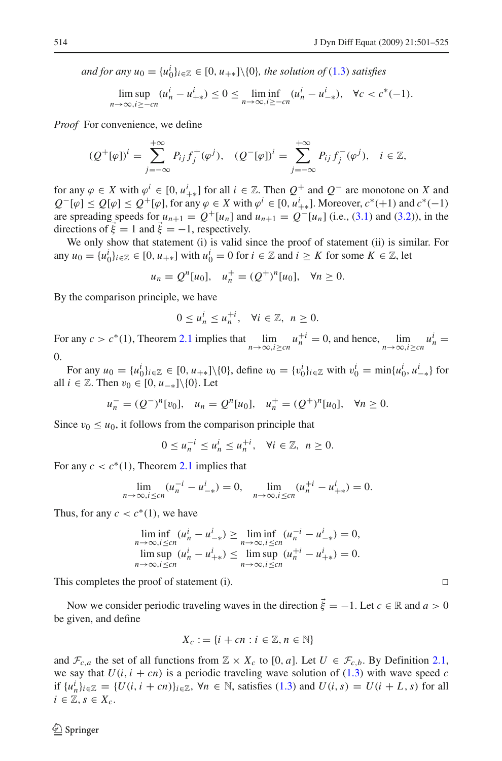*and for any*  $u_0 = \{u_0^i\}_{i \in \mathbb{Z}} \in [0, u_{+*}] \setminus \{0\}$ , the solution of [\(1.3\)](#page-1-1) *satisfies* 

$$
\limsup_{n \to \infty, i \ge -cn} (u_n^i - u_{+*}^i) \le 0 \le \liminf_{n \to \infty, i \ge -cn} (u_n^i - u_{-*}^i), \quad \forall c < c^*(-1).
$$

*Proof* For convenience, we define

$$
(Q^+[\varphi])^i = \sum_{j=-\infty}^{+\infty} P_{ij} f_j^+(\varphi^j), \quad (Q^-[{\varphi}])^i = \sum_{j=-\infty}^{+\infty} P_{ij} f_j^-(\varphi^j), \quad i \in \mathbb{Z},
$$

for any  $\varphi \in X$  with  $\varphi^i \in [0, u^i_{+*}]$  for all  $i \in \mathbb{Z}$ . Then  $Q^+$  and  $Q^-$  are monotone on X and  $Q^-[{\varphi}] \leq Q[{\varphi}] \leq Q^+[\varphi]$ , for any  ${\varphi} \in X$  with  ${\varphi}^i \in [0, u^i_{+*}]$ . Moreover,  $c^*(+1)$  and  $c^*(-1)$ are spreading speeds for  $u_{n+1} = Q^+[u_n]$  and  $u_{n+1} = Q^-[u_n]$  (i.e., [\(3.1\)](#page-11-1) and [\(3.2\)](#page-12-0)), in the directions of  $\vec{\xi} = 1$  and  $\vec{\xi} = -1$ , respectively.

We only show that statement (i) is valid since the proof of statement (ii) is similar. For any  $u_0 = \{u_0^i\}_{i \in \mathbb{Z}} \in [0, u_{+*}]$  with  $u_0^i = 0$  for  $i \in \mathbb{Z}$  and  $i \geq K$  for some  $K \in \mathbb{Z}$ , let

$$
u_n = Q^n[u_0],
$$
  $u_n^+ = (Q^+)^n[u_0],$   $\forall n \ge 0.$ 

By the comparison principle, we have

$$
0 \le u_n^i \le u_n^{+i}, \quad \forall i \in \mathbb{Z}, \ n \ge 0.
$$

For any  $c > c^*(1)$ , Theorem [2.1](#page-8-0) implies that  $\lim_{n \to \infty, i \geq cn} u_n^{+i} = 0$ , and hence,  $\lim_{n \to \infty, i \geq cn} u_n^{i} = 0$ 0.

For any  $u_0 = \{u_0^i\}_{i \in \mathbb{Z}} \in [0, u_{+*}] \setminus \{0\}$ , define  $v_0 = \{v_0^i\}_{i \in \mathbb{Z}}$  with  $v_0^i = \min\{u_0^i, u_{-*}^i\}$  for all  $i \in \mathbb{Z}$ . Then  $v_0 \in [0, u_{-*}]\setminus\{0\}$ . Let

$$
u_n^- = (Q^-)^n[v_0], \quad u_n = Q^n[u_0], \quad u_n^+ = (Q^+)^n[u_0], \quad \forall n \ge 0.
$$

Since  $v_0 \leq u_0$ , it follows from the comparison principle that

$$
0 \le u_n^{-i} \le u_n^i \le u_n^{+i}, \quad \forall i \in \mathbb{Z}, \ n \ge 0.
$$

For any  $c < c^*(1)$ , Theorem [2.1](#page-8-0) implies that

$$
\lim_{n \to \infty, i \leq cn} (u_n^{-i} - u_{-\pi}^i) = 0, \quad \lim_{n \to \infty, i \leq cn} (u_n^{+i} - u_{+\pi}^i) = 0.
$$

Thus, for any  $c < c^*(1)$ , we have

$$
\liminf_{n \to \infty, i \leq cn} (u_n^i - u_{-\ast}^i) \geq \liminf_{n \to \infty, i \leq cn} (u_n^{-i} - u_{-\ast}^i) = 0,
$$
  
\n
$$
\limsup_{n \to \infty, i \leq cn} (u_n^i - u_{+\ast}^i) \leq \limsup_{n \to \infty, i \leq cn} (u_n^{+i} - u_{+\ast}^i) = 0.
$$

This completes the proof of statement (i).  $\Box$ 

Now we consider periodic traveling waves in the direction  $\vec{\xi} = -1$ . Let  $c \in \mathbb{R}$  and  $a > 0$ be given, and define

$$
X_c := \{ i + cn : i \in \mathbb{Z}, n \in \mathbb{N} \}
$$

and  $\mathcal{F}_{c,a}$  the set of all functions from  $\mathbb{Z} \times X_c$  to [0, *a*]. Let  $U \in \mathcal{F}_{c,b}$ . By Definition [2.1,](#page-10-0) we say that  $U(i, i + cn)$  is a periodic traveling wave solution of [\(1.3\)](#page-1-1) with wave speed *c i*f  $\{u_n^i\}_{i \in \mathbb{Z}}$  =  $\{U(i, i + cn)\}_{i \in \mathbb{Z}}$ , ∀*n* ∈ ℕ, satisfies [\(1.3\)](#page-1-1) and  $U(i, s) = U(i + L, s)$  for all  $i \in \mathbb{Z}, s \in X_c$ .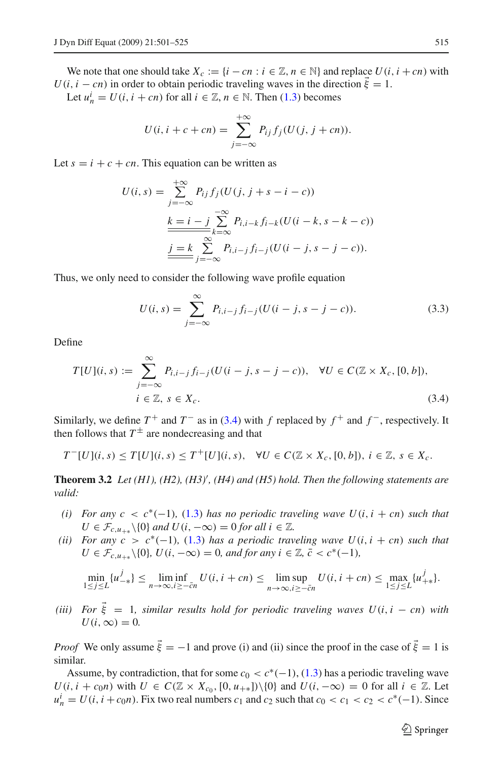We note that one should take  $X_c := \{i - cn : i \in \mathbb{Z}, n \in \mathbb{N}\}\$ and replace  $U(i, i + cn)$  with  $U(i, i - cn)$  in order to obtain periodic traveling waves in the direction  $\vec{\xi} = 1$ .

Let  $u_n^i = U(i, i + cn)$  for all  $i \in \mathbb{Z}, n \in \mathbb{N}$ . Then [\(1.3\)](#page-1-1) becomes

$$
U(i, i + c + cn) = \sum_{j = -\infty}^{+\infty} P_{ij} f_j (U(j, j + cn)).
$$

Let  $s = i + c + cn$ . This equation can be written as

$$
U(i, s) = \sum_{j=-\infty}^{+\infty} P_{ij} f_j (U(j, j + s - i - c))
$$
  

$$
\frac{k = i - j}{\sum_{k=-\infty}^{-\infty} P_{i, i-k} f_{i-k} (U(i - k, s - k - c))}
$$
  

$$
\underline{\underline{j = k} \sum_{j=-\infty}^{\infty} P_{i, i-j} f_{i-j} (U(i - j, s - j - c)).}
$$

Thus, we only need to consider the following wave profile equation

$$
U(i,s) = \sum_{j=-\infty}^{\infty} P_{i,i-j} f_{i-j} (U(i-j, s-j-c)).
$$
 (3.3)

<span id="page-14-0"></span>Define

$$
T[U](i, s) := \sum_{j=-\infty}^{\infty} P_{i, i-j} f_{i-j} (U(i - j, s - j - c)), \quad \forall U \in C(\mathbb{Z} \times X_c, [0, b]),
$$
  
\n $i \in \mathbb{Z}, s \in X_c.$  (3.4)

Similarly, we define  $T^+$  and  $T^-$  as in [\(3.4\)](#page-14-0) with *f* replaced by  $f^+$  and  $f^-$ , respectively. It then follows that  $T^{\pm}$  are nondecreasing and that

$$
T^{-}[U](i,s) \leq T[U](i,s) \leq T^{+}[U](i,s), \quad \forall U \in C(\mathbb{Z} \times X_c, [0,b]), i \in \mathbb{Z}, s \in X_c.
$$

<span id="page-14-1"></span>Theorem 3.2 Let (H1), (H2), (H3)<sup>'</sup>, (H4) and (H5) hold. Then the following statements are *valid:*

- *(i)* For any  $c < c^*(-1)$ , [\(1.3\)](#page-1-1) has no periodic traveling wave  $U(i, i + cn)$  such that *U* ∈  $\mathcal{F}_{c,u_{+\ast}}$  \{0} *and U*(*i*,  $-\infty$ ) = 0 *for all i* ∈  $\mathbb{Z}$ *.*
- *(ii)* For any  $c > c^*(-1)$ , [\(1.3\)](#page-1-1) has a periodic traveling wave  $U(i, i + cn)$  such that  $U \in \mathcal{F}_{c,u_{++}}\setminus\{0\}$ ,  $U(i, -\infty) = 0$ , and for any  $i \in \mathbb{Z}$ ,  $\bar{c} < c^*(-1)$ ,

$$
\min_{1 \le j \le L} \{u_{-*}^j\} \le \liminf_{n \to \infty, i \ge -\bar{c}n} U(i, i + cn) \le \limsup_{n \to \infty, i \ge -\bar{c}n} U(i, i + cn) \le \max_{1 \le j \le L} \{u_{+*}^j\}.
$$

(*iii*) For  $\vec{\xi} = 1$ , similar results hold for periodic traveling waves  $U(i, i - cn)$  with  $U(i, \infty) = 0$ .

*Proof* We only assume  $\vec{\xi} = -1$  and prove (i) and (ii) since the proof in the case of  $\vec{\xi} = 1$  is similar.

Assume, by contradiction, that for some  $c_0 < c^*(-1)$ , [\(1.3\)](#page-1-1) has a periodic traveling wave *U*(*i*, *i* + *c*<sub>0</sub>*n*) with *U* ∈  $C(\mathbb{Z} \times X_{c_0}, [0, u_{+*}])\setminus\{0\}$  and  $U(i, -\infty) = 0$  for all  $i \in \mathbb{Z}$ . Let  $u_n^i = U(i, i + c_0 n)$ . Fix two real numbers  $c_1$  and  $c_2$  such that  $c_0 < c_1 < c_2 < c^*(-1)$ . Since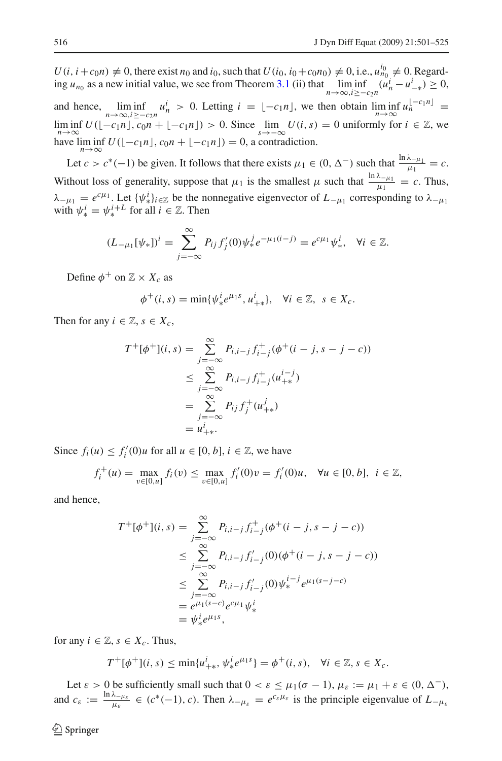*U*(*i*, *i* + *c*<sub>0</sub>*n*)  $\neq$  0, there exist *n*<sub>0</sub> and *i*<sub>0</sub>, such that *U*(*i*<sub>0</sub>, *i*<sub>0</sub> + *c*<sub>0</sub>*n*<sub>0</sub>)  $\neq$  0, i.e.,  $u_{n_0}^{i_0} \neq$  0. Regarding *u<sub>n*0</sub> as a new initial value, we see from Theorem [3.1](#page-12-1) (ii) that  $\lim_{n\to\infty, i\geq -c_2n} (u_n^i - u_{-\ast}^i) \geq 0$ , and hence,  $\lim_{n\to\infty} \inf_{i\geq -c_2n} u_n^i > 0$ . Letting  $i = \lfloor -c_1n \rfloor$ , we then obtain  $\lim_{n\to\infty} \inf_{n\to\infty} u_n^{[-c_1n]} =$ lim inf  $U([-c_1n], c_0n + [-c_1n]) > 0$ . Since  $\lim_{s \to -\infty} U(i, s) = 0$  uniformly for  $i \in \mathbb{Z}$ , we have  $\liminf_{n\to\infty} U([-c_1n], c_0n + [-c_1n]) = 0$ , a contradiction.

Let *c* > *c*<sup>\*</sup>(−1) be given. It follows that there exists  $\mu_1 \in (0, \Delta^-)$  such that  $\frac{\ln \lambda_{-\mu_1}}{\mu_1} = c$ . Without loss of generality, suppose that  $\mu_1$  is the smallest  $\mu$  such that  $\frac{\ln \lambda_{-\mu_1}}{\mu_1} = c$ . Thus,  $\lambda_{-\mu_1} = e^{c\mu_1}$ . Let  $\{\psi^i_*\}_{i \in \mathbb{Z}}$  be the nonnegative eigenvector of  $L_{-\mu_1}$  corresponding to  $\lambda_{-\mu_1}$ with  $\psi^i_* = \psi^{i+L}_*$  for all  $i \in \mathbb{Z}$ . Then

$$
(L_{-\mu_1}[\psi_*])^i = \sum_{j=-\infty}^{\infty} P_{ij} f'_j(0) \psi_*^j e^{-\mu_1(i-j)} = e^{c\mu_1} \psi_*^i, \quad \forall i \in \mathbb{Z}.
$$

Define  $\phi^+$  on  $\mathbb{Z} \times X_c$  as

$$
\phi^+(i,s) = \min\{\psi_*^i e^{\mu_1 s}, u_{+*}^i\}, \quad \forall i \in \mathbb{Z}, \ s \in X_c.
$$

Then for any  $i \in \mathbb{Z}, s \in X_c$ ,

$$
T^{+}[\phi^{+}](i, s) = \sum_{j=-\infty}^{\infty} P_{i,i-j} f_{i-j}^{+}(\phi^{+}(i-j, s-j-c))
$$
  
\n
$$
\leq \sum_{j=-\infty}^{\infty} P_{i,i-j} f_{i-j}^{+}(u_{+*}^{i-j})
$$
  
\n
$$
= \sum_{j=-\infty}^{\infty} P_{ij} f_{j}^{+}(u_{+*}^{j})
$$
  
\n
$$
= u_{+*}^{i}.
$$

Since  $f_i(u) \le f'_i(0)u$  for all  $u \in [0, b]$ ,  $i \in \mathbb{Z}$ , we have

$$
f_i^+(u) = \max_{v \in [0, u]} f_i(v) \le \max_{v \in [0, u]} f'_i(0)v = f'_i(0)u, \quad \forall u \in [0, b], \ i \in \mathbb{Z},
$$

and hence,

$$
T^{+}[\phi^{+}](i,s) = \sum_{j=-\infty}^{\infty} P_{i,i-j} f_{i-j}^{+} (\phi^{+}(i-j, s-j-c))
$$
  
\n
$$
\leq \sum_{j=-\infty}^{\infty} P_{i,i-j} f'_{i-j} (0) (\phi^{+}(i-j, s-j-c))
$$
  
\n
$$
\leq \sum_{j=-\infty}^{\infty} P_{i,i-j} f'_{i-j} (0) \psi_{*}^{i-j} e^{\mu_{1}(s-j-c)}
$$
  
\n
$$
= e^{\mu_{1}(s-c)} e^{c\mu_{1}} \psi_{*}^{i}
$$
  
\n
$$
= \psi_{*}^{i} e^{\mu_{1}s},
$$

for any  $i \in \mathbb{Z}, s \in X_c$ . Thus,

$$
T^{+}[\phi^{+}](i,s) \le \min\{u_{+\ast}^{i}, \psi_{\ast}^{i}e^{\mu_{1}s}\} = \phi^{+}(i,s), \quad \forall i \in \mathbb{Z}, s \in X_{c}.
$$

Let  $\varepsilon > 0$  be sufficiently small such that  $0 < \varepsilon \leq \mu_1(\sigma - 1)$ ,  $\mu_{\varepsilon} := \mu_1 + \varepsilon \in (0, \Delta^{-})$ , and  $c_{\varepsilon} := \frac{\ln \lambda_{-\mu_{\varepsilon}}}{\mu_{\varepsilon}} \in (c^*(-1), c)$ . Then  $\lambda_{-\mu_{\varepsilon}} = e^{c_{\varepsilon}\mu_{\varepsilon}}$  is the principle eigenvalue of  $L_{-\mu_{\varepsilon}}$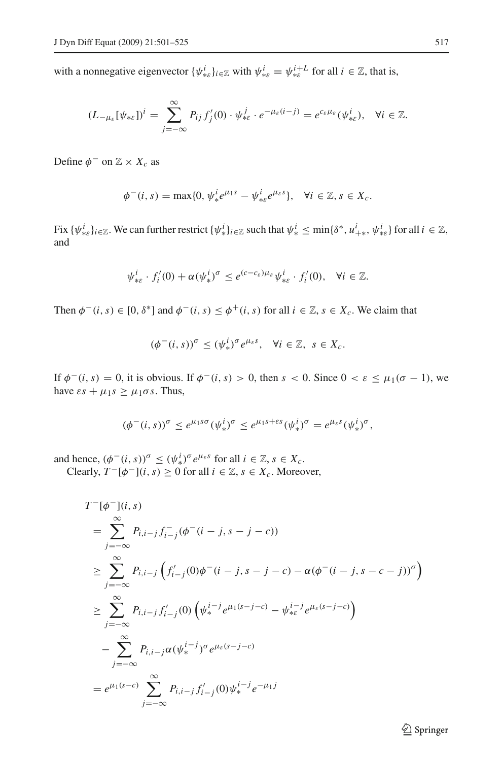with a nonnegative eigenvector  $\{\psi_{*_k}^i\}_{i \in \mathbb{Z}}$  with  $\psi_{*_k}^i = \psi_{*_k}^{i+L}$  for all  $i \in \mathbb{Z}$ , that is,

$$
(L_{-\mu_{\varepsilon}}[\psi_{\ast\varepsilon}])^i = \sum_{j=-\infty}^{\infty} P_{ij} f'_j(0) \cdot \psi_{\ast\varepsilon}^j \cdot e^{-\mu_{\varepsilon}(i-j)} = e^{c_{\varepsilon}\mu_{\varepsilon}}(\psi_{\ast\varepsilon}^i), \quad \forall i \in \mathbb{Z}.
$$

Define  $\phi^-$  on  $\mathbb{Z} \times X_c$  as

$$
\phi^-(i,s) = \max\{0, \psi_*^i e^{\mu_1 s} - \psi_{* \varepsilon}^i e^{\mu_{\varepsilon} s}\}, \quad \forall i \in \mathbb{Z}, s \in X_c.
$$

Fix  $\{\psi_{*s}^i\}_{i\in\mathbb{Z}}$ . We can further restrict  $\{\psi_*^i\}_{i\in\mathbb{Z}}$  such that  $\psi_*^i \leq \min\{\delta^*, u_{+*}^i, \psi_{*s}^i\}$  for all  $i \in \mathbb{Z}$ , and

$$
\psi_{*\varepsilon}^i \cdot f'_i(0) + \alpha (\psi_*^i)^{\sigma} \leq e^{(c-c_{\varepsilon})\mu_{\varepsilon}} \psi_{*\varepsilon}^i \cdot f'_i(0), \quad \forall i \in \mathbb{Z}.
$$

Then  $\phi^-(i, s) \in [0, \delta^*]$  and  $\phi^-(i, s) \leq \phi^+(i, s)$  for all  $i \in \mathbb{Z}, s \in X_c$ . We claim that

$$
(\phi^-(i,s))^{\sigma} \le (\psi_*^i)^{\sigma} e^{\mu_{\varepsilon} s}, \quad \forall i \in \mathbb{Z}, \ s \in X_c.
$$

If  $\phi^-(i, s) = 0$ , it is obvious. If  $\phi^-(i, s) > 0$ , then  $s < 0$ . Since  $0 < \varepsilon \leq \mu_1(\sigma - 1)$ , we have  $\epsilon s + \mu_1 s \geq \mu_1 \sigma s$ . Thus,

$$
(\phi^-(i,s))^\sigma \leq e^{\mu_1 s \sigma} (\psi^i_*)^\sigma \leq e^{\mu_1 s + \varepsilon s} (\psi^i_*)^\sigma = e^{\mu_\varepsilon s} (\psi^i_*)^\sigma,
$$

and hence,  $(\phi^-(i, s))^{\sigma} \le (\psi_*^i)^{\sigma} e^{\mu_{\varepsilon} s}$  for all  $i \in \mathbb{Z}, s \in X_c$ . Clearly,  $T^{-}[\phi^{-}](i, s) \ge 0$  for all  $i \in \mathbb{Z}, s \in X_c$ . Moreover,

$$
T^{-}[\phi^{-}](i, s)
$$
\n
$$
= \sum_{j=-\infty}^{\infty} P_{i,i-j} f_{i-j}^{-} (\phi^{-} (i-j, s-j-c))
$$
\n
$$
\geq \sum_{j=-\infty}^{\infty} P_{i,i-j} \left( f'_{i-j}(0) \phi^{-} (i-j, s-j-c) - \alpha (\phi^{-} (i-j, s-c-j))^{\sigma} \right)
$$
\n
$$
\geq \sum_{j=-\infty}^{\infty} P_{i,i-j} f'_{i-j}(0) \left( \psi_{*}^{i-j} e^{\mu_{1}(s-j-c)} - \psi_{* \varepsilon}^{i-j} e^{\mu_{\varepsilon}(s-j-c)} \right)
$$
\n
$$
- \sum_{j=-\infty}^{\infty} P_{i,i-j} \alpha (\psi_{*}^{i-j})^{\sigma} e^{\mu_{\varepsilon}(s-j-c)}
$$
\n
$$
= e^{\mu_{1}(s-c)} \sum_{j=-\infty}^{\infty} P_{i,i-j} f'_{i-j}(0) \psi_{*}^{i-j} e^{-\mu_{1}j}
$$

 $\hat{2}$  Springer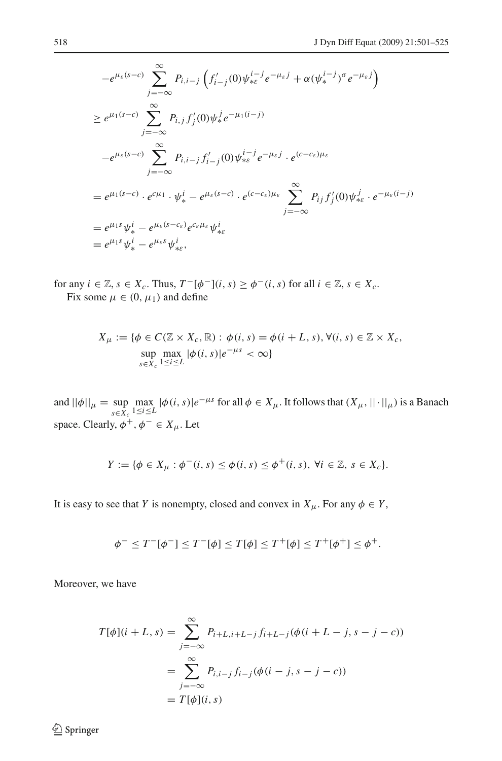$$
-e^{\mu_{\varepsilon}(s-c)} \sum_{j=-\infty}^{\infty} P_{i,i-j} \left( f'_{i-j}(0) \psi_{*\varepsilon}^{i-j} e^{-\mu_{\varepsilon} j} + \alpha (\psi_{*}^{i-j})^{\sigma} e^{-\mu_{\varepsilon} j} \right)
$$
  
\n
$$
\geq e^{\mu_{1}(s-c)} \sum_{j=-\infty}^{\infty} P_{i,j} f'_{j}(0) \psi_{*}^{j} e^{-\mu_{1}(i-j)}
$$
  
\n
$$
-e^{\mu_{\varepsilon}(s-c)} \sum_{j=-\infty}^{\infty} P_{i,i-j} f'_{i-j}(0) \psi_{*\varepsilon}^{i-j} e^{-\mu_{\varepsilon} j} \cdot e^{(c-c_{\varepsilon})\mu_{\varepsilon}}
$$
  
\n
$$
= e^{\mu_{1}(s-c)} \cdot e^{c\mu_{1}} \cdot \psi_{*}^{i} - e^{\mu_{\varepsilon}(s-c)} \cdot e^{(c-c_{\varepsilon})\mu_{\varepsilon}} \sum_{j=-\infty}^{\infty} P_{i,j} f'_{j}(0) \psi_{*\varepsilon}^{j} \cdot e^{-\mu_{\varepsilon}(i-j)}
$$
  
\n
$$
= e^{\mu_{1}s} \psi_{*}^{i} - e^{\mu_{\varepsilon}(s-c_{\varepsilon})} e^{c_{\varepsilon}\mu_{\varepsilon}} \psi_{*}^{i}
$$
  
\n
$$
= e^{\mu_{1}s} \psi_{*}^{i} - e^{\mu_{\varepsilon}s} \psi_{*}^{i},
$$

for any  $i \in \mathbb{Z}$ ,  $s \in X_c$ . Thus,  $T^{-}[\phi^{-}](i, s) \ge \phi^{-}(i, s)$  for all  $i \in \mathbb{Z}$ ,  $s \in X_c$ . Fix some  $\mu \in (0, \mu_1)$  and define

$$
X_{\mu} := \{ \phi \in C(\mathbb{Z} \times X_c, \mathbb{R}) : \phi(i, s) = \phi(i + L, s), \forall (i, s) \in \mathbb{Z} \times X_c,
$$
  
\n
$$
\sup_{s \in X_c} \max_{1 \le i \le L} |\phi(i, s)| e^{-\mu s} < \infty \}
$$

and  $||\phi||_{\mu} = \sup_{s \in X_c}$  $\max_{1 \le i \le L} |\phi(i, s)| e^{-\mu s}$  for all  $\phi \in X_{\mu}$ . It follows that  $(X_{\mu}, ||\cdot||_{\mu})$  is a Banach space. Clearly,  $\phi^+, \phi^- \in X_\mu$ . Let

$$
Y := \{ \phi \in X_{\mu} : \phi^{-}(i, s) \leq \phi(i, s) \leq \phi^{+}(i, s), \ \forall i \in \mathbb{Z}, \ s \in X_{c} \}.
$$

It is easy to see that *Y* is nonempty, closed and convex in  $X_{\mu}$ . For any  $\phi \in Y$ ,

$$
\phi^- \leq T^{-}[\phi^-] \leq T^{-}[\phi] \leq T[\phi] \leq T^{+}[\phi] \leq T^{+}[\phi^{+}] \leq \phi^{+}.
$$

Moreover, we have

$$
T[\phi](i + L, s) = \sum_{j = -\infty}^{\infty} P_{i + L, i + L - j} f_{i + L - j}(\phi(i + L - j, s - j - c))
$$
  
= 
$$
\sum_{j = -\infty}^{\infty} P_{i, i - j} f_{i - j}(\phi(i - j, s - j - c))
$$
  
= 
$$
T[\phi](i, s)
$$

 $\hat{Z}$  Springer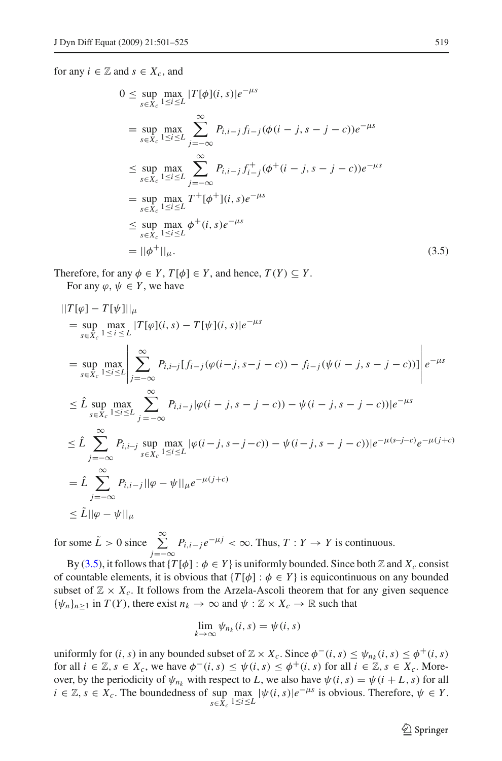<span id="page-18-0"></span>for any  $i \in \mathbb{Z}$  and  $s \in X_c$ , and

$$
0 \le \sup_{s \in X_c} \max_{1 \le i \le L} |T[\phi](i, s)|e^{-\mu s}
$$
  
\n
$$
= \sup_{s \in X_c} \max_{1 \le i \le L} \sum_{j=-\infty}^{\infty} P_{i, i-j} f_{i-j} (\phi(i - j, s - j - c))e^{-\mu s}
$$
  
\n
$$
\le \sup_{s \in X_c} \max_{1 \le i \le L} \sum_{j=-\infty}^{\infty} P_{i, i-j} f_{i-j}^+ (\phi^+(i - j, s - j - c))e^{-\mu s}
$$
  
\n
$$
= \sup_{s \in X_c} \max_{1 \le i \le L} T^+[\phi^+](i, s)e^{-\mu s}
$$
  
\n
$$
\le \sup_{s \in X_c} \max_{1 \le i \le L} \phi^+(i, s)e^{-\mu s}
$$
  
\n
$$
= ||\phi^+||_{\mu}.
$$
 (3.5)

Therefore, for any  $\phi \in Y$ ,  $T[\phi] \in Y$ , and hence,  $T(Y) \subseteq Y$ . For any  $\varphi, \psi \in Y$ , we have

$$
\begin{split}\n||T[\varphi] - T[\psi]||_{\mu} \\
&= \sup_{s \in X_c} \max_{1 \le i \le L} |T[\varphi](i, s) - T[\psi](i, s)|e^{-\mu s} \\
&= \sup_{s \in X_c} \max_{1 \le i \le L} \left| \sum_{j = -\infty}^{\infty} P_{i, i \to j} [f_{i - j}(\varphi(i - j, s - j - c)) - f_{i - j}(\psi(i - j, s - j - c))] \right| e^{-\mu s} \\
&\le \hat{L} \sup_{s \in X_c} \max_{1 \le i \le L} \sum_{j = -\infty}^{\infty} P_{i, i - j} |\varphi(i - j, s - j - c)) - \psi(i - j, s - j - c)|e^{-\mu s} \\
&\le \hat{L} \sum_{j = -\infty}^{\infty} P_{i, i \to j} \sup_{s \in X_c} \max_{1 \le i \le L} |\varphi(i - j, s - j - c)) - \psi(i - j, s - j - c)|e^{-\mu(s - j - c)}e^{-\mu(j + c)} \\
&= \hat{L} \sum_{j = -\infty}^{\infty} P_{i, i - j} ||\varphi - \psi||_{\mu} e^{-\mu(j + c)} \\
&\le \tilde{L} ||\varphi - \psi||_{\mu}\n\end{split}
$$

for some  $\tilde{L} > 0$  since  $\sum_{i=1}^{\infty}$ *j*=−∞  $P_{i,i-j}e^{-\mu j}$  < ∞. Thus, *T* : *Y* → *Y* is continuous.

By [\(3.5\)](#page-18-0), it follows that  $\{T[\phi] : \phi \in Y\}$  is uniformly bounded. Since both Z and  $X_c$  consist of countable elements, it is obvious that  $\{T[\phi] : \phi \in Y\}$  is equicontinuous on any bounded subset of  $\mathbb{Z} \times X_c$ . It follows from the Arzela-Ascoli theorem that for any given sequence  ${\psi_n}_{n \geq 1}$  in  $T(Y)$ , there exist  $n_k \to \infty$  and  $\psi : \mathbb{Z} \times X_c \to \mathbb{R}$  such that

$$
\lim_{k \to \infty} \psi_{n_k}(i, s) = \psi(i, s)
$$

uniformly for  $(i, s)$  in any bounded subset of  $\mathbb{Z} \times X_c$ . Since  $\phi^-(i, s) \leq \psi_{n_k}(i, s) \leq \phi^+(i, s)$ for all  $i \in \mathbb{Z}, s \in X_c$ , we have  $\phi^-(i, s) \leq \psi(i, s) \leq \phi^+(i, s)$  for all  $i \in \mathbb{Z}, s \in X_c$ . Moreover, by the periodicity of  $\psi_{n_k}$  with respect to *L*, we also have  $\psi(i, s) = \psi(i + L, s)$  for all  $i \in \mathbb{Z}, s \in X_c$ . The boundedness of sup  $\max_{s \in X_c} |\psi(i, s)|e^{-\mu s}$  is obvious. Therefore,  $\psi \in Y$ .  $s \in X_c$ <sup>1≤*i*</sup>≤*L*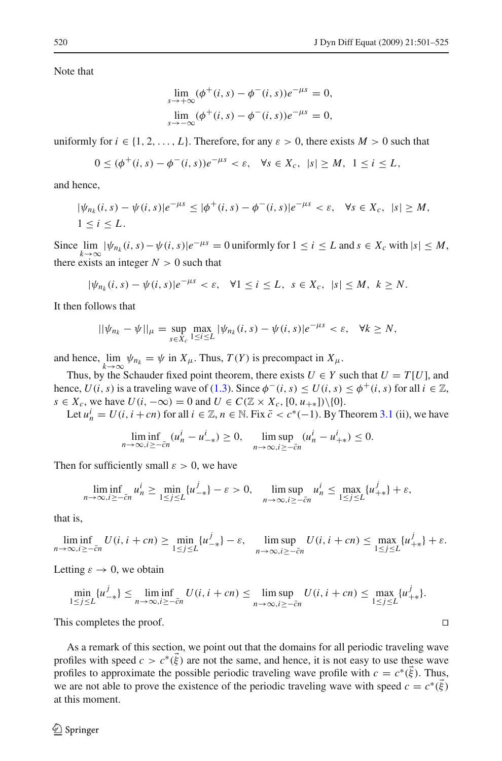Note that

$$
\lim_{s \to +\infty} (\phi^+(i, s) - \phi^-(i, s))e^{-\mu s} = 0,
$$
  

$$
\lim_{s \to -\infty} (\phi^+(i, s) - \phi^-(i, s))e^{-\mu s} = 0,
$$

uniformly for  $i \in \{1, 2, ..., L\}$ . Therefore, for any  $\varepsilon > 0$ , there exists  $M > 0$  such that

$$
0 \leq (\phi^+(i,s) - \phi^-(i,s))e^{-\mu s} < \varepsilon, \quad \forall s \in X_c, \ |s| \geq M, \ 1 \leq i \leq L,
$$

and hence,

$$
|\psi_{n_k}(i,s) - \psi(i,s)|e^{-\mu s} \leq |\phi^+(i,s) - \phi^-(i,s)|e^{-\mu s} < \varepsilon, \quad \forall s \in X_c, \quad |s| \geq M,
$$
  

$$
1 \leq i \leq L.
$$

Since  $\lim_{k \to \infty} |\psi_{n_k}(i, s) - \psi(i, s)|e^{-\mu s} = 0$  uniformly for  $1 \le i \le L$  and  $s \in X_c$  with  $|s| \le M$ , there exists an integer  $N > 0$  such that

$$
|\psi_{n_k}(i,s)-\psi(i,s)|e^{-\mu s}<\varepsilon,\quad\forall 1\leq i\leq L,\ s\in X_c,\ |s|\leq M,\ k\geq N.
$$

It then follows that

$$
||\psi_{n_k} - \psi||_{\mu} = \sup_{s \in X_c} \max_{1 \le i \le L} |\psi_{n_k}(i, s) - \psi(i, s)|e^{-\mu s} < \varepsilon, \quad \forall k \ge N,
$$

and hence,  $\lim_{k \to \infty} \psi_{n_k} = \psi$  in  $X_\mu$ . Thus,  $T(Y)$  is precompact in  $X_\mu$ .

Thus, by the Schauder fixed point theorem, there exists  $U \in Y$  such that  $U = T[U]$ , and hence,  $U(i, s)$  is a traveling wave of [\(1.3\)](#page-1-1). Since  $\phi^{-}(i, s) \leq U(i, s) \leq \phi^{+}(i, s)$  for all  $i \in \mathbb{Z}$ , *s* ∈ *X<sub>c</sub>*, we have  $U(i, -\infty) = 0$  and  $U \in C(\mathbb{Z} \times X_c, [0, u_{+*}]) \setminus \{0\}.$ 

Let  $u_n^i = U(i, i + cn)$  for all  $i \in \mathbb{Z}, n \in \mathbb{N}$ . Fix  $\bar{c} < c^*(-1)$ . By Theorem [3.1](#page-12-1) (ii), we have

$$
\liminf_{n \to \infty, i \ge -\bar{c}n} (u_n^i - u_{-\ast}^i) \ge 0, \quad \limsup_{n \to \infty, i \ge -\bar{c}n} (u_n^i - u_{+\ast}^i) \le 0.
$$

Then for sufficiently small  $\varepsilon > 0$ , we have

$$
\liminf_{n\to\infty, i\geq -\bar{c}n} u_n^i \geq \min_{1\leq j\leq L} \{u_{-\ast}^j\} - \varepsilon > 0, \quad \limsup_{n\to\infty, i\geq -\bar{c}n} u_n^i \leq \max_{1\leq j\leq L} \{u_{+\ast}^j\} + \varepsilon,
$$

that is,

$$
\liminf_{n\to\infty, i\geq -\bar{c}n} U(i, i+cn) \geq \min_{1\leq j\leq L} \{u_{-*}^j\} - \varepsilon, \quad \limsup_{n\to\infty, i\geq -\bar{c}n} U(i, i+cn) \leq \max_{1\leq j\leq L} \{u_{+*}^j\} + \varepsilon.
$$

Letting  $\varepsilon \to 0$ , we obtain

$$
\min_{1 \le j \le L} \{u_{-*}^j\} \le \liminf_{n \to \infty, i \ge -\bar{c}n} U(i, i + cn) \le \limsup_{n \to \infty, i \ge -\bar{c}n} U(i, i + cn) \le \max_{1 \le j \le L} \{u_{+*}^j\}.
$$

This completes the proof.

As a remark of this section, we point out that the domains for all periodic traveling wave profiles with speed  $c > c^*(\xi)$  are not the same, and hence, it is not easy to use these wave profiles to approximate the possible periodic traveling wave profile with  $c = c^*(\xi)$ . Thus, we are not able to prove the existence of the periodic traveling wave with speed  $c = c^*(\vec{\xi})$ at this moment.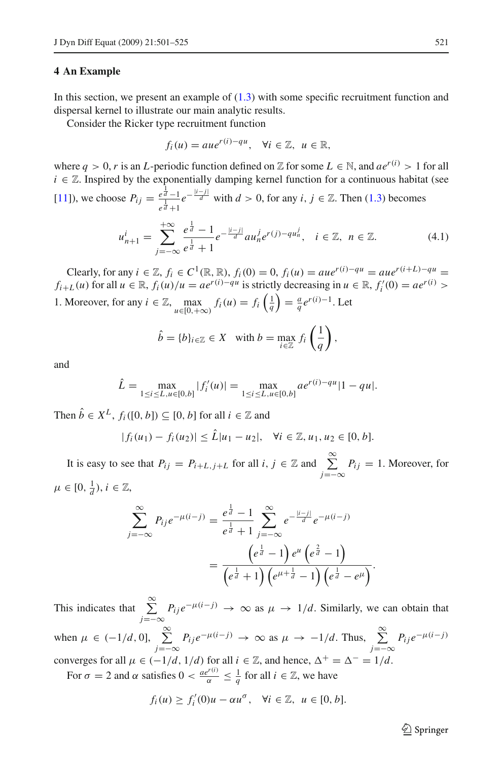### <span id="page-20-0"></span>**4 An Example**

In this section, we present an example of  $(1.3)$  with some specific recruitment function and dispersal kernel to illustrate our main analytic results.

Consider the Ricker type recruitment function

$$
f_i(u) = aue^{r(i)-qu}, \quad \forall i \in \mathbb{Z}, \ u \in \mathbb{R},
$$

where  $q > 0$ , r is an *L*-periodic function defined on Z for some  $L \in \mathbb{N}$ , and  $ae^{r(i)} > 1$  for all  $i \in \mathbb{Z}$ . Inspired by the exponentially damping kernel function for a continuous habitat (see [\[11\]](#page-23-11)), we choose  $P_{ij} = \frac{e^{\frac{1}{d}} - 1}{1}$  $\frac{e^{\frac{1}{d}}-1}{e^{\frac{1}{d}}+1}e^{-\frac{|i-j|}{d}}$  with *d* > 0, for any *i*, *j* ∈ Z. Then [\(1.3\)](#page-1-1) becomes  $u_{n+1}^i = \sum_{n=1}^{+\infty}$ *j*=−∞  $e^{\frac{1}{d}}-1$  $e^{\frac{1}{d}} + 1$  $e^{-\frac{|i-j|}{d}} a u_n^j e^{r(j)-qu_n^j}, \quad i \in \mathbb{Z}, \quad n \in \mathbb{Z}.$  (4.1)

<span id="page-20-1"></span>Clearly, for any *i* ∈  $\mathbb{Z}$ ,  $f_i$  ∈  $C^1(\mathbb{R}, \mathbb{R})$ ,  $f_i(0) = 0$ ,  $f_i(u) = aue^{r(i) - qu} = aue^{r(i+L) - qu}$ *f*<sub>*i*+*L*</sub>(*u*) for all  $u \in \mathbb{R}$ ,  $f_i(u)/u = ae^{r(i)-qu}$  is strictly decreasing in  $u \in \mathbb{R}$ ,  $f'_i(0) = ae^{r(i)} >$ 1. Moreover, for any  $i \in \mathbb{Z}$ ,  $\max_{u \in [0, +\infty)} f_i(u) = f_i\left(\frac{1}{q}\right) = \frac{a}{q} e^{r(i)-1}$ . Let

$$
\hat{b} = \{b\}_{i \in \mathbb{Z}} \in X \quad \text{with } b = \max_{i \in \mathbb{Z}} f_i\left(\frac{1}{q}\right),
$$

and

$$
\hat{L} = \max_{1 \le i \le L, u \in [0, b]} |f'_i(u)| = \max_{1 \le i \le L, u \in [0, b]} a e^{r(i) - qu} |1 - qu|.
$$

Then  $\hat{b} \in X^L$ ,  $f_i([0, b]) \subseteq [0, b]$  for all  $i \in \mathbb{Z}$  and

$$
|f_i(u_1) - f_i(u_2)| \leq \hat{L}|u_1 - u_2|, \quad \forall i \in \mathbb{Z}, u_1, u_2 \in [0, b].
$$

It is easy to see that  $P_{ij} = P_{i+L,j+L}$  for all  $i, j \in \mathbb{Z}$  and  $\sum_{j=-\infty}^{\infty} P_{ij} = 1$ . Moreover, for  $\mu \in [0, \frac{1}{d}), i \in \mathbb{Z},$ 

$$
\sum_{j=-\infty}^{\infty} P_{ij} e^{-\mu(i-j)} = \frac{e^{\frac{1}{d}} - 1}{e^{\frac{1}{d}} + 1} \sum_{j=-\infty}^{\infty} e^{-\frac{|i-j|}{d}} e^{-\mu(i-j)} \n= \frac{\left(e^{\frac{1}{d}} - 1\right) e^{\mu} \left(e^{\frac{2}{d}} - 1\right)}{\left(e^{\frac{1}{d}} + 1\right) \left(e^{\mu + \frac{1}{d}} - 1\right) \left(e^{\frac{1}{d}} - e^{\mu}\right)}.
$$

This indicates that  $\sum_{n=1}^{\infty}$  $\sum_{j=-\infty}^{\infty} P_{ij} e^{-\mu(i-j)} \to \infty$  as  $\mu \to 1/d$ . Similarly, we can obtain that when  $\mu \in (-1/d, 0], \quad \sum_{n=1}^{\infty}$  $\sum_{j=-\infty}^{\infty} P_{ij} e^{-\mu(i-j)} \rightarrow \infty$  as  $\mu \rightarrow -1/d$ . Thus,  $\sum_{j=-\infty}^{\infty} P_{ij} e^{-\mu(i-j)}$ converges for all  $\mu \in (-1/d, 1/d)$  for all  $i \in \mathbb{Z}$ , and hence,  $\Delta^+ = \Delta^- = 1/d$ . For  $\sigma = 2$  and  $\alpha$  satisfies  $0 < \frac{ae^{r(i)}}{\alpha} \leq \frac{1}{q}$  for all  $i \in \mathbb{Z}$ , we have

$$
f_i(u) \ge f'_i(0)u - \alpha u^{\sigma}, \quad \forall i \in \mathbb{Z}, \ u \in [0, b].
$$

 $\circled{2}$  Springer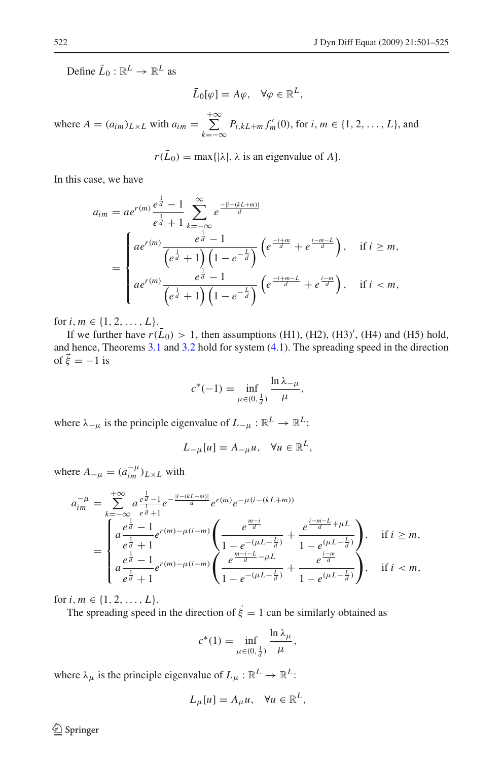Define  $\bar{L}_0 : \mathbb{R}^L \to \mathbb{R}^L$  as

$$
\bar{L}_0[\varphi] = A\varphi, \quad \forall \varphi \in \mathbb{R}^L,
$$

where  $A = (a_{im})_{L \times L}$  with  $a_{im} = \sum_{i=1}^{+\infty}$ *k*=−∞  $P_{i,kL+m} f'_{m}(0)$ , for *i*, *m* ∈ {1, 2, ..., *L*}, and

$$
r(\bar{L}_0) = \max\{|\lambda|, \lambda \text{ is an eigenvalue of } A\}.
$$

In this case, we have

$$
a_{im} = ae^{r(m)} \frac{e^{\frac{1}{d}} - 1}{e^{\frac{1}{d}} + 1} \sum_{k=-\infty}^{\infty} e^{\frac{-|i - (kL + m)|}{d}}
$$
  
= 
$$
\begin{cases} ae^{r(m)} \frac{e^{\frac{1}{d}} - 1}{(e^{\frac{1}{d}} + 1) (1 - e^{-\frac{L}{d}})} (e^{\frac{-i+m}{d}} + e^{\frac{i-m-L}{d}}), & \text{if } i \geq m, \\ ae^{r(m)} \frac{e^{\frac{1}{d}} - 1}{(e^{\frac{1}{d}} + 1) (1 - e^{-\frac{L}{d}})} (e^{\frac{-i+m-L}{d}} + e^{\frac{i-m}{d}}), & \text{if } i < m, \end{cases}
$$

for  $i, m \in \{1, 2, ..., L\}.$ 

If we further have  $r(\bar{L}_0) > 1$ , then assumptions (H1), (H2), (H3)', (H4) and (H5) hold, and hence, Theorems [3.1](#page-12-1) and [3.2](#page-14-1) hold for system [\(4.1\)](#page-20-1). The spreading speed in the direction of  $\vec{\xi} = -1$  is

$$
c^*(-1) = \inf_{\mu \in (0, \frac{1}{d})} \frac{\ln \lambda_{-\mu}}{\mu},
$$

where  $\lambda_{-\mu}$  is the principle eigenvalue of  $L_{-\mu} : \mathbb{R}^L \to \mathbb{R}^L$ :

$$
L_{-\mu}[u] = A_{-\mu}u, \quad \forall u \in \mathbb{R}^L,
$$

where  $A_{-\mu} = (a_{im}^{-\mu})_{L \times L}$  with

$$
a_{im}^{-\mu} = \sum_{k=-\infty}^{+\infty} a \frac{e^{\frac{1}{d}} - 1}{e^{\frac{1}{d}} + 1} e^{-\frac{|i - (kL + m)|}{d}} e^{r(m)} e^{-\mu(i - (kL + m))}
$$
  
\n
$$
= \begin{cases} a^{\frac{1}{d}} - 1 \frac{e^{\frac{1}{d}} - 1}{e^{\frac{1}{d}} + 1} e^{r(m) - \mu(i - m)} \left( \frac{e^{\frac{m - i}{d}}}{1 - e^{-(\mu L + \frac{L}{d})}} + \frac{e^{\frac{i - m - L}{d}} + \mu L}{1 - e^{(\mu L - \frac{L}{d})}} \right), & \text{if } i \geq m, \\ a \frac{e^{\frac{1}{d}} - 1}{e^{\frac{1}{d}} + 1} e^{r(m) - \mu(i - m)} \left( \frac{e^{\frac{m - i - L}{d}} - \mu L}{1 - e^{-(\mu L + \frac{L}{d})}} + \frac{e^{\frac{i - m}{d}}}{1 - e^{(\mu L - \frac{L}{d})}} \right), & \text{if } i < m, \end{cases}
$$

for  $i, m \in \{1, 2, ..., L\}.$ 

The spreading speed in the direction of  $\vec{\xi} = 1$  can be similarly obtained as

$$
c^*(1) = \inf_{\mu \in (0, \frac{1}{d})} \frac{\ln \lambda_\mu}{\mu},
$$

where  $\lambda_{\mu}$  is the principle eigenvalue of  $L_{\mu} : \mathbb{R}^{L} \to \mathbb{R}^{L}$ :

$$
L_{\mu}[u] = A_{\mu}u, \quad \forall u \in \mathbb{R}^{L},
$$

<sup>2</sup> Springer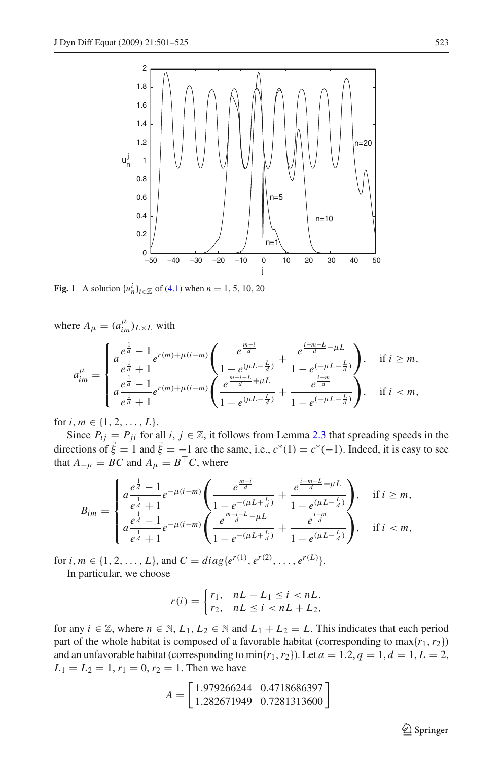

<span id="page-22-0"></span>**Fig. 1** A solution  $\{u_n^i\}_{i \in \mathbb{Z}}$  of [\(4.1\)](#page-20-1) when  $n = 1, 5, 10, 20$ 

where  $A_{\mu} = (a_{im}^{\mu})_{L \times L}$  with

$$
a_{im}^{\mu} = \begin{cases} a^{\frac{e^{\frac{1}{d}}-1}{e^{\frac{1}{d}}+1}e^{r(m)+\mu(i-m)} \left( \frac{e^{\frac{m-i}{d}}}{1-e^{(\mu L-\frac{L}{d})}} + \frac{e^{\frac{i-m-L}{d}-\mu L}}{1-e^{(-\mu L-\frac{L}{d})}} \right), & \text{if } i \geq m, \\ a^{\frac{e^{\frac{1}{d}}-1}{e^{\frac{1}{d}}+1}e^{r(m)+\mu(i-m)} \left( \frac{e^{\frac{m-i-L}{d}+\mu L}}{1-e^{(\mu L-\frac{L}{d})}} + \frac{e^{\frac{i-m}{d}}}{1-e^{(-\mu L-\frac{L}{d})}} \right), & \text{if } i < m, \end{cases}
$$

for *i*,  $m \in \{1, 2, ..., L\}.$ 

Since  $P_{ij} = P_{ji}$  for all  $i, j \in \mathbb{Z}$ , it follows from Lemma [2.3](#page-8-3) that spreading speeds in the directions of  $\vec{\xi} = 1$  and  $\vec{\xi} = -1$  are the same, i.e.,  $c^*(1) = c^*(-1)$ . Indeed, it is easy to see that  $A_{-\mu} = BC$  and  $A_{\mu} = B^{\top}C$ , where

$$
B_{im} = \begin{cases} a\frac{e^{\frac{1}{d}}-1}{e^{\frac{1}{d}}+1}e^{-\mu(i-m)}\left(\frac{e^{\frac{m-i}{d}}}{1-e^{-(\mu L+\frac{L}{d})}}+\frac{e^{\frac{i-m-L}{d}+\mu L}}{1-e^{(\mu L-\frac{L}{d})}}\right), & \text{if } i \geq m, \\ a\frac{e^{\frac{1}{d}}-1}{e^{\frac{1}{d}}+1}e^{-\mu(i-m)}\left(\frac{e^{\frac{m-i-L}{d}-\mu L}}{1-e^{-(\mu L+\frac{L}{d})}}+\frac{e^{\frac{i-m}{d}}}{1-e^{(\mu L-\frac{L}{d})}}\right), & \text{if } i < m, \end{cases}
$$

for *i*,  $m \in \{1, 2, ..., L\}$ , and  $C = diag\{e^{r(1)}, e^{r(2)}, ..., e^{r(L)}\}$ .

In particular, we choose

$$
r(i) = \begin{cases} r_1, & nL - L_1 \le i < n, \\ r_2, & nL \le i < n, \\ t < n. \end{cases}
$$

for any  $i \in \mathbb{Z}$ , where  $n \in \mathbb{N}$ ,  $L_1, L_2 \in \mathbb{N}$  and  $L_1 + L_2 = L$ . This indicates that each period part of the whole habitat is composed of a favorable habitat (corresponding to  $max{r_1, r_2}$ ) and an unfavorable habitat (corresponding to  $\min\{r_1, r_2\}$ ). Let  $a = 1.2, q = 1, d = 1, L = 2$ ,  $L_1 = L_2 = 1, r_1 = 0, r_2 = 1$ . Then we have

$$
A = \begin{bmatrix} 1.979266244 & 0.4718686397 \\ 1.282671949 & 0.7281313600 \end{bmatrix}
$$

<sup>2</sup> Springer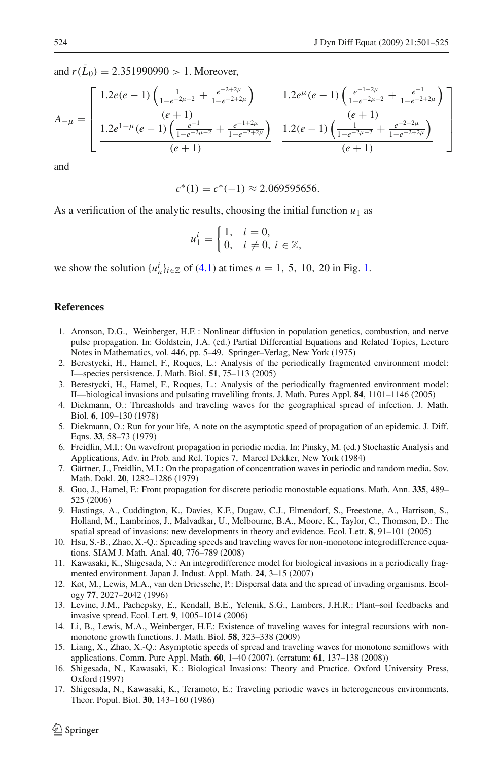and  $r(\bar{L}_0) = 2.351990990 > 1$ . Moreover,

$$
A_{-\mu} = \left[ \frac{1.2e(e-1)\left(\frac{1}{1-e^{-2\mu-2}} + \frac{e^{-2+2\mu}}{1-e^{-2+2\mu}}\right)}{(e+1)} + \frac{1.2e^{\mu}(e-1)\left(\frac{e^{-1-2\mu}}{1-e^{-2\mu-2}} + \frac{e^{-1}}{1-e^{-2+2\mu}}\right)}{(e+1)}\right]
$$
  

$$
\frac{1.2e^{1-\mu}(e-1)\left(\frac{e^{-1}}{1-e^{-2\mu-2}} + \frac{e^{-1+2\mu}}{1-e^{-2+2\mu}}\right)}{(e+1)} + \frac{1.2(e-1)\left(\frac{1}{1-e^{-2\mu-2}} + \frac{e^{-2+2\mu}}{1-e^{-2+2\mu}}\right)}{(e+1)}\right]}{(e+1)}
$$

and

$$
c^*(1) = c^*(-1) \approx 2.069595656.
$$

As a verification of the analytic results, choosing the initial function  $u_1$  as

$$
u_1^i = \begin{cases} 1, & i = 0, \\ 0, & i \neq 0, i \in \mathbb{Z}, \end{cases}
$$

we show the solution  $\{u_n^i\}_{i \in \mathbb{Z}}$  of [\(4.1\)](#page-20-1) at times  $n = 1, 5, 10, 20$  in Fig. [1.](#page-22-0)

#### <span id="page-23-3"></span>**References**

- 1. Aronson, D.G., Weinberger, H.F. : Nonlinear diffusion in population genetics, combustion, and nerve pulse propagation. In: Goldstein, J.A. (ed.) Partial Differential Equations and Related Topics, Lecture Notes in Mathematics, vol. 446, pp. 5–49. Springer–Verlag, New York (1975)
- <span id="page-23-13"></span>2. Berestycki, H., Hamel, F., Roques, L.: Analysis of the periodically fragmented environment model: I—species persistence. J. Math. Biol. **51**, 75–113 (2005)
- <span id="page-23-14"></span>3. Berestycki, H., Hamel, F., Roques, L.: Analysis of the periodically fragmented environment model: II—biological invasions and pulsating traveliling fronts. J. Math. Pures Appl. **84**, 1101–1146 (2005)
- <span id="page-23-4"></span>4. Diekmann, O.: Threasholds and traveling waves for the geographical spread of infection. J. Math. Biol. **6**, 109–130 (1978)
- <span id="page-23-5"></span>5. Diekmann, O.: Run for your life, A note on the asymptotic speed of propagation of an epidemic. J. Diff. Eqns. **33**, 58–73 (1979)
- <span id="page-23-7"></span>6. Freidlin, M.I.: On wavefront propagation in periodic media. In: Pinsky, M. (ed.) Stochastic Analysis and Applications, Adv. in Prob. and Rel. Topics 7, Marcel Dekker, New York (1984)
- <span id="page-23-8"></span>7. Gärtner, J., Freidlin, M.I.: On the propagation of concentration waves in periodic and random media. Sov. Math. Dokl. **20**, 1282–1286 (1979)
- <span id="page-23-15"></span>8. Guo, J., Hamel, F.: Front propagation for discrete periodic monostable equations. Math. Ann. **335**, 489– 525 (2006)
- <span id="page-23-0"></span>9. Hastings, A., Cuddington, K., Davies, K.F., Dugaw, C.J., Elmendorf, S., Freestone, A., Harrison, S., Holland, M., Lambrinos, J., Malvadkar, U., Melbourne, B.A., Moore, K., Taylor, C., Thomson, D.: The spatial spread of invasions: new developments in theory and evidence. Ecol. Lett. **8**, 91–101 (2005)
- <span id="page-23-10"></span>10. Hsu, S.-B., Zhao, X.-Q.: Spreading speeds and traveling waves for non-monotone integrodifference equations. SIAM J. Math. Anal. **40**, 776–789 (2008)
- <span id="page-23-11"></span>11. Kawasaki, K., Shigesada, N.: An integrodifference model for biological invasions in a periodically fragmented environment. Japan J. Indust. Appl. Math. **24**, 3–15 (2007)
- <span id="page-23-1"></span>12. Kot, M., Lewis, M.A., van den Driessche, P.: Dispersal data and the spread of invading organisms. Ecology **77**, 2027–2042 (1996)
- <span id="page-23-2"></span>13. Levine, J.M., Pachepsky, E., Kendall, B.E., Yelenik, S.G., Lambers, J.H.R.: Plant–soil feedbacks and invasive spread. Ecol. Lett. **9**, 1005–1014 (2006)
- <span id="page-23-12"></span>14. Li, B., Lewis, M.A., Weinberger, H.F.: Existence of traveling waves for integral recursions with nonmonotone growth functions. J. Math. Biol. **58**, 323–338 (2009)
- <span id="page-23-6"></span>15. Liang, X., Zhao, X.-Q.: Asymptotic speeds of spread and traveling waves for monotone semiflows with applications. Comm. Pure Appl. Math. **60**, 1–40 (2007). (erratum: **61**, 137–138 (2008))
- <span id="page-23-16"></span>16. Shigesada, N., Kawasaki, K.: Biological Invasions: Theory and Practice. Oxford University Press, Oxford (1997)
- <span id="page-23-9"></span>17. Shigesada, N., Kawasaki, K., Teramoto, E.: Traveling periodic waves in heterogeneous environments. Theor. Popul. Biol. **30**, 143–160 (1986)